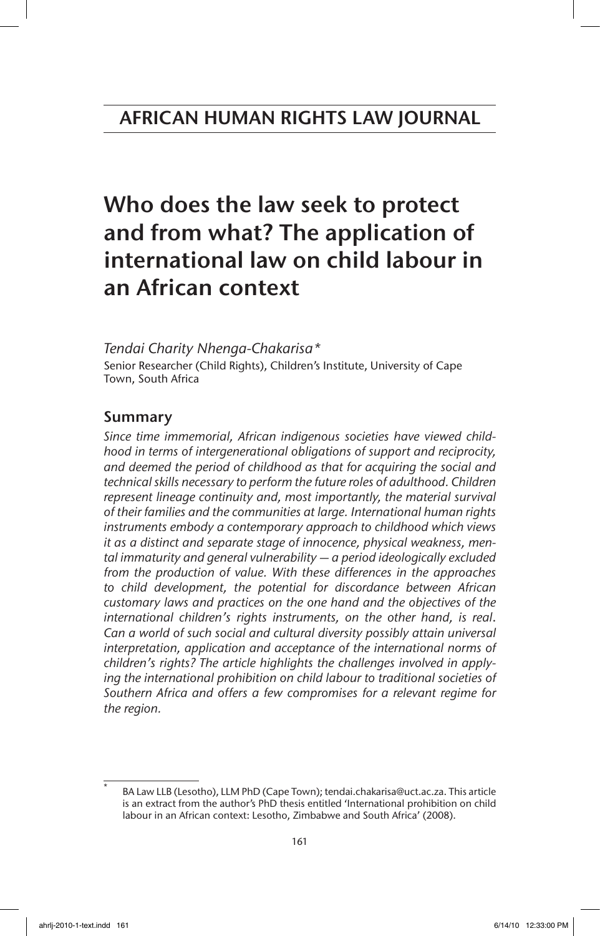# Who does the law seek to protect and from what? The application of international law on child labour in an African context

# *Tendai Charity Nhenga-Chakarisa\**

Senior Researcher (Child Rights), Children's Institute, University of Cape Town, South Africa

# Summary

*Since time immemorial, African indigenous societies have viewed childhood in terms of intergenerational obligations of support and reciprocity, and deemed the period of childhood as that for acquiring the social and technical skills necessary to perform the future roles of adulthood. Children*  represent lineage continuity and, most importantly, the material survival *of their families and the communities at large. International human rights instruments embody a contemporary approach to childhood which views it as a distinct and separate stage of innocence, physical weakness, mental immaturity and general vulnerability — a period ideologically excluded from the production of value. With these differences in the approaches to child development, the potential for discordance between African customary laws and practices on the one hand and the objectives of the international children's rights instruments, on the other hand, is real*. *Can a world of such social and cultural diversity possibly attain universal interpretation, application and acceptance of the international norms of children's rights? The article highlights the challenges involved in applying the international prohibition on child labour to traditional societies of Southern Africa and offers a few compromises for a relevant regime for the region.*

BA Law LLB (Lesotho), LLM PhD (Cape Town); tendai.chakarisa@uct.ac.za. This article is an extract from the author's PhD thesis entitled 'International prohibition on child labour in an African context: Lesotho, Zimbabwe and South Africa' (2008).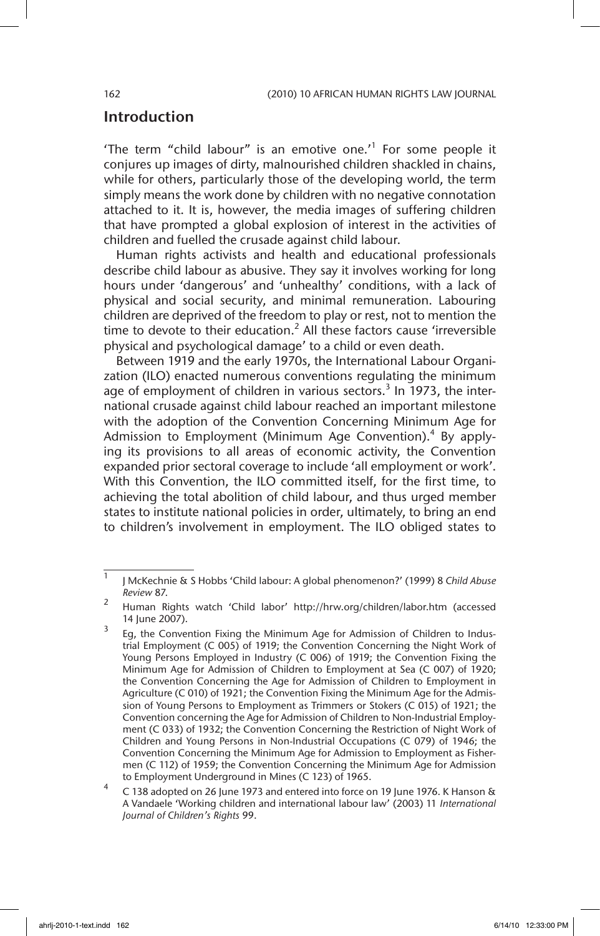# Introduction

'The term "child labour" is an emotive one.<sup>1</sup> For some people it conjures up images of dirty, malnourished children shackled in chains, while for others, particularly those of the developing world, the term simply means the work done by children with no negative connotation attached to it. It is, however, the media images of suffering children that have prompted a global explosion of interest in the activities of children and fuelled the crusade against child labour.

Human rights activists and health and educational professionals describe child labour as abusive. They say it involves working for long hours under 'dangerous' and 'unhealthy' conditions, with a lack of physical and social security, and minimal remuneration. Labouring children are deprived of the freedom to play or rest, not to mention the time to devote to their education.<sup>2</sup> All these factors cause 'irreversible physical and psychological damage' to a child or even death.

Between 1919 and the early 1970s, the International Labour Organization (ILO) enacted numerous conventions regulating the minimum age of employment of children in various sectors.<sup>3</sup> In 1973, the international crusade against child labour reached an important milestone with the adoption of the Convention Concerning Minimum Age for Admission to Employment (Minimum Age Convention).<sup>4</sup> By applying its provisions to all areas of economic activity, the Convention expanded prior sectoral coverage to include 'all employment or work'. With this Convention, the ILO committed itself, for the first time, to achieving the total abolition of child labour, and thus urged member states to institute national policies in order, ultimately, to bring an end to children's involvement in employment. The ILO obliged states to

<sup>1</sup> J McKechnie & S Hobbs 'Child labour: A global phenomenon?' (1999) 8 *Child Abuse Review* 87.

<sup>&</sup>lt;sup>2</sup> Human Rights watch 'Child labor' http://hrw.org/children/labor.htm (accessed 14 June 2007).

Eg, the Convention Fixing the Minimum Age for Admission of Children to Industrial Employment (C 005) of 1919; the Convention Concerning the Night Work of Young Persons Employed in Industry (C 006) of 1919; the Convention Fixing the Minimum Age for Admission of Children to Employment at Sea (C 007) of 1920; the Convention Concerning the Age for Admission of Children to Employment in Agriculture (C 010) of 1921; the Convention Fixing the Minimum Age for the Admission of Young Persons to Employment as Trimmers or Stokers (C 015) of 1921; the Convention concerning the Age for Admission of Children to Non-Industrial Employment (C 033) of 1932; the Convention Concerning the Restriction of Night Work of Children and Young Persons in Non-Industrial Occupations (C 079) of 1946; the Convention Concerning the Minimum Age for Admission to Employment as Fishermen (C 112) of 1959; the Convention Concerning the Minimum Age for Admission to Employment Underground in Mines (C 123) of 1965.

<sup>4</sup> C 138 adopted on 26 June 1973 and entered into force on 19 June 1976. K Hanson & A Vandaele 'Working children and international labour law' (2003) 11 *International Journal of Children's Rights* 99.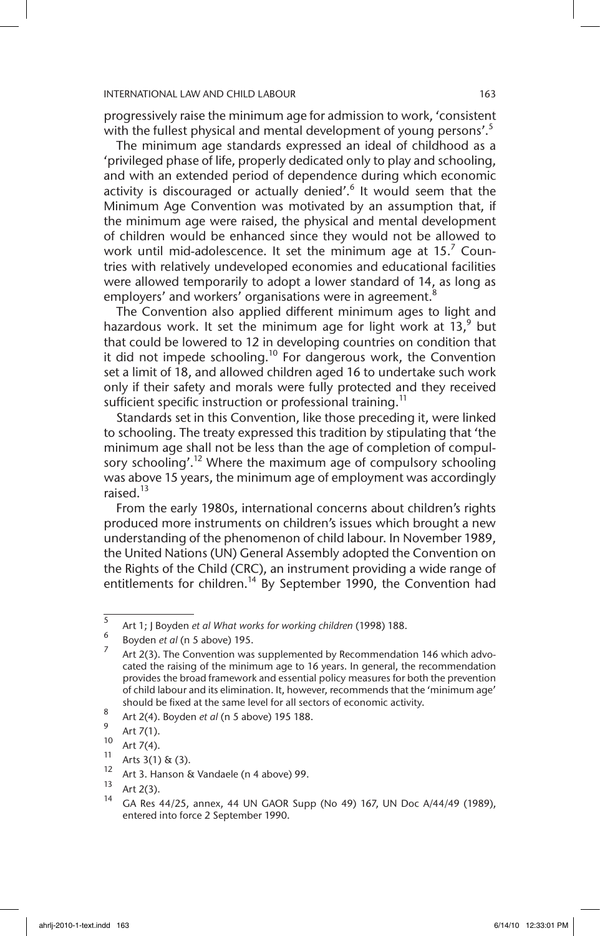progressively raise the minimum age for admission to work, 'consistent with the fullest physical and mental development of young persons'.<sup>5</sup>

The minimum age standards expressed an ideal of childhood as a 'privileged phase of life, properly dedicated only to play and schooling, and with an extended period of dependence during which economic activity is discouraged or actually denied'.<sup>6</sup> It would seem that the Minimum Age Convention was motivated by an assumption that, if the minimum age were raised, the physical and mental development of children would be enhanced since they would not be allowed to work until mid-adolescence. It set the minimum age at 15. $^7$  Countries with relatively undeveloped economies and educational facilities were allowed temporarily to adopt a lower standard of 14, as long as employers' and workers' organisations were in agreement.<sup>8</sup>

The Convention also applied different minimum ages to light and hazardous work. It set the minimum age for light work at  $13$ , but that could be lowered to 12 in developing countries on condition that it did not impede schooling.<sup>10</sup> For dangerous work, the Convention set a limit of 18, and allowed children aged 16 to undertake such work only if their safety and morals were fully protected and they received sufficient specific instruction or professional training.<sup>11</sup>

Standards set in this Convention, like those preceding it, were linked to schooling. The treaty expressed this tradition by stipulating that 'the minimum age shall not be less than the age of completion of compulsory schooling'.<sup>12</sup> Where the maximum age of compulsory schooling was above 15 years, the minimum age of employment was accordingly raised.<sup>13</sup>

From the early 1980s, international concerns about children's rights produced more instruments on children's issues which brought a new understanding of the phenomenon of child labour. In November 1989, the United Nations (UN) General Assembly adopted the Convention on the Rights of the Child (CRC), an instrument providing a wide range of entitlements for children.<sup>14</sup> By September 1990, the Convention had

<sup>5</sup> Art 1; J Boyden *et al What works for working children* (1998) 188.

<sup>6</sup> Boyden *et al* (n 5 above) 195.

Art 2(3). The Convention was supplemented by Recommendation 146 which advocated the raising of the minimum age to 16 years. In general, the recommendation provides the broad framework and essential policy measures for both the prevention of child labour and its elimination. It, however, recommends that the 'minimum age' should be fixed at the same level for all sectors of economic activity.

<sup>8</sup> Art 2(4). Boyden *et al* (n 5 above) 195 188.

 $\int_{10}^{9}$  Art 7(1).

 $10^{10}$  Art 7(4).

<sup>&</sup>lt;sup>11</sup> Arts 3(1) & (3).

<sup>&</sup>lt;sup>12</sup> Art 3. Hanson & Vandaele (n 4 above) 99.

 $14$  Art 2(3).

<sup>14</sup> GA Res 44/25, annex, 44 UN GAOR Supp (No 49) 167, UN Doc A/44/49 (1989), entered into force 2 September 1990.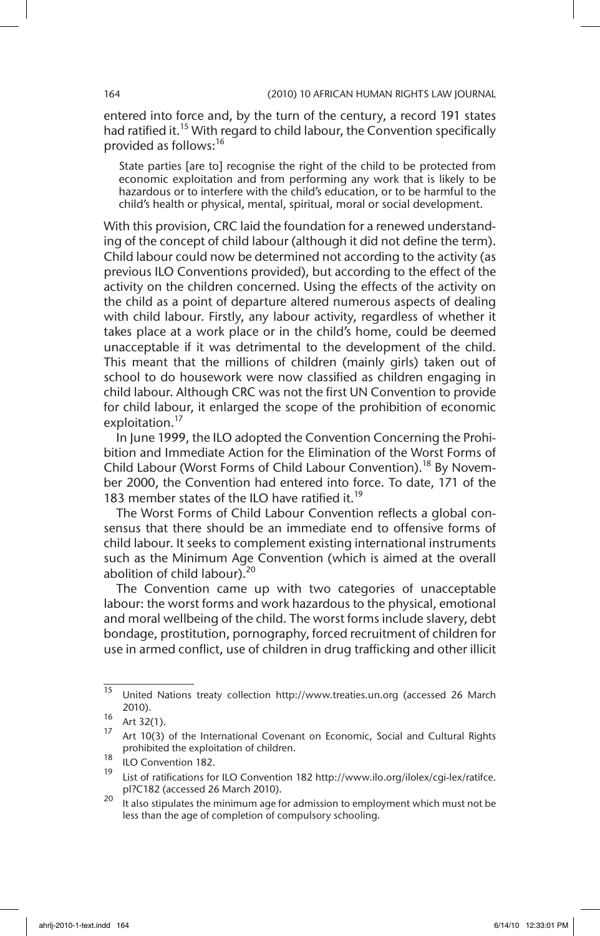entered into force and, by the turn of the century, a record 191 states had ratified it.<sup>15</sup> With regard to child labour, the Convention specifically provided as follows:16

State parties [are to] recognise the right of the child to be protected from economic exploitation and from performing any work that is likely to be hazardous or to interfere with the child's education, or to be harmful to the child's health or physical, mental, spiritual, moral or social development.

With this provision, CRC laid the foundation for a renewed understanding of the concept of child labour (although it did not define the term). Child labour could now be determined not according to the activity (as previous ILO Conventions provided), but according to the effect of the activity on the children concerned. Using the effects of the activity on the child as a point of departure altered numerous aspects of dealing with child labour. Firstly, any labour activity, regardless of whether it takes place at a work place or in the child's home, could be deemed unacceptable if it was detrimental to the development of the child. This meant that the millions of children (mainly girls) taken out of school to do housework were now classified as children engaging in child labour. Although CRC was not the first UN Convention to provide for child labour, it enlarged the scope of the prohibition of economic exploitation.<sup>17</sup>

In June 1999, the ILO adopted the Convention Concerning the Prohibition and Immediate Action for the Elimination of the Worst Forms of Child Labour (Worst Forms of Child Labour Convention).<sup>18</sup> By November 2000, the Convention had entered into force. To date, 171 of the 183 member states of the ILO have ratified it.<sup>19</sup>

The Worst Forms of Child Labour Convention reflects a global consensus that there should be an immediate end to offensive forms of child labour. It seeks to complement existing international instruments such as the Minimum Age Convention (which is aimed at the overall abolition of child labour).<sup>20</sup>

The Convention came up with two categories of unacceptable labour: the worst forms and work hazardous to the physical, emotional and moral wellbeing of the child. The worst forms include slavery, debt bondage, prostitution, pornography, forced recruitment of children for use in armed conflict, use of children in drug trafficking and other illicit

<sup>15</sup> United Nations treaty collection http://www.treaties.un.org (accessed 26 March 2010).

 $16$  Art 32(1).

 $17$  Art 10(3) of the International Covenant on Economic, Social and Cultural Rights prohibited the exploitation of children.

 $\frac{18}{19}$  ILO Convention 182.

List of ratifications for ILO Convention 182 http://www.ilo.org/ilolex/cgi-lex/ratifce. pl?C182 (accessed 26 March 2010).

<sup>&</sup>lt;sup>20</sup> It also stipulates the minimum age for admission to employment which must not be less than the age of completion of compulsory schooling.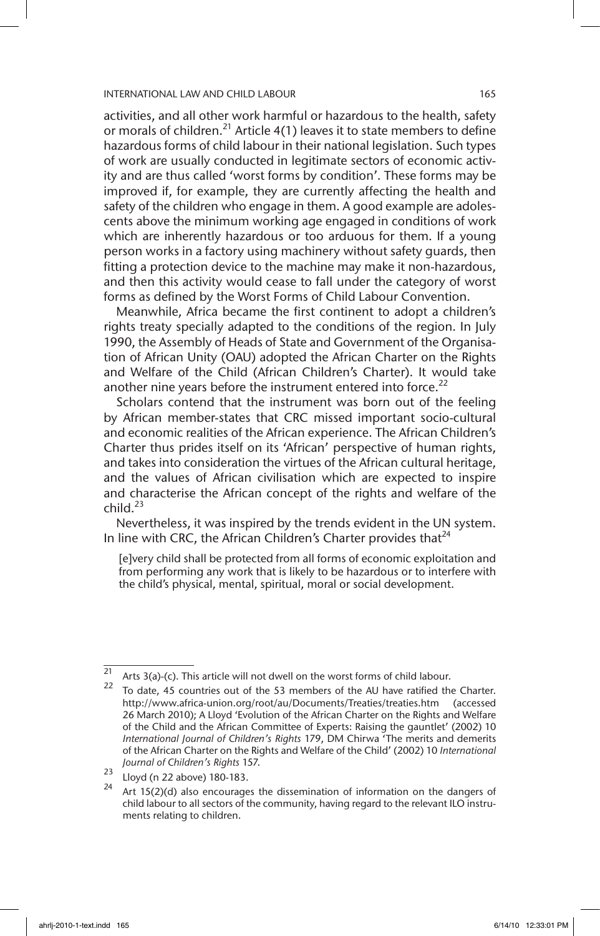activities, and all other work harmful or hazardous to the health, safety or morals of children.<sup>21</sup> Article  $4(1)$  leaves it to state members to define hazardous forms of child labour in their national legislation. Such types of work are usually conducted in legitimate sectors of economic activity and are thus called 'worst forms by condition'. These forms may be improved if, for example, they are currently affecting the health and safety of the children who engage in them. A good example are adolescents above the minimum working age engaged in conditions of work which are inherently hazardous or too arduous for them. If a young person works in a factory using machinery without safety guards, then fitting a protection device to the machine may make it non-hazardous, and then this activity would cease to fall under the category of worst forms as defined by the Worst Forms of Child Labour Convention.

Meanwhile, Africa became the first continent to adopt a children's rights treaty specially adapted to the conditions of the region. In July 1990, the Assembly of Heads of State and Government of the Organisation of African Unity (OAU) adopted the African Charter on the Rights and Welfare of the Child (African Children's Charter). It would take another nine years before the instrument entered into force. $^{22}$ 

Scholars contend that the instrument was born out of the feeling by African member-states that CRC missed important socio-cultural and economic realities of the African experience. The African Children's Charter thus prides itself on its 'African' perspective of human rights, and takes into consideration the virtues of the African cultural heritage, and the values of African civilisation which are expected to inspire and characterise the African concept of the rights and welfare of the child. $^{23}$ 

Nevertheless, it was inspired by the trends evident in the UN system. In line with CRC, the African Children's Charter provides that $^{24}$ 

[e]very child shall be protected from all forms of economic exploitation and from performing any work that is likely to be hazardous or to interfere with the child's physical, mental, spiritual, moral or social development.

 $\frac{1}{21}$  Arts 3(a)-(c). This article will not dwell on the worst forms of child labour.

To date, 45 countries out of the 53 members of the AU have ratified the Charter. http://www.africa-union.org/root/au/Documents/Treaties/treaties.htm (accessed 26 March 2010); A Lloyd 'Evolution of the African Charter on the Rights and Welfare of the Child and the African Committee of Experts: Raising the gauntlet' (2002) 10 *International Journal of Children's Rights* 179, DM Chirwa 'The merits and demerits of the African Charter on the Rights and Welfare of the Child' (2002) 10 *International Journal of Children's Rights* 157.

 $\frac{23}{24}$  Lloyd (n 22 above) 180-183.

Art  $15(2)(d)$  also encourages the dissemination of information on the dangers of child labour to all sectors of the community, having regard to the relevant ILO instruments relating to children.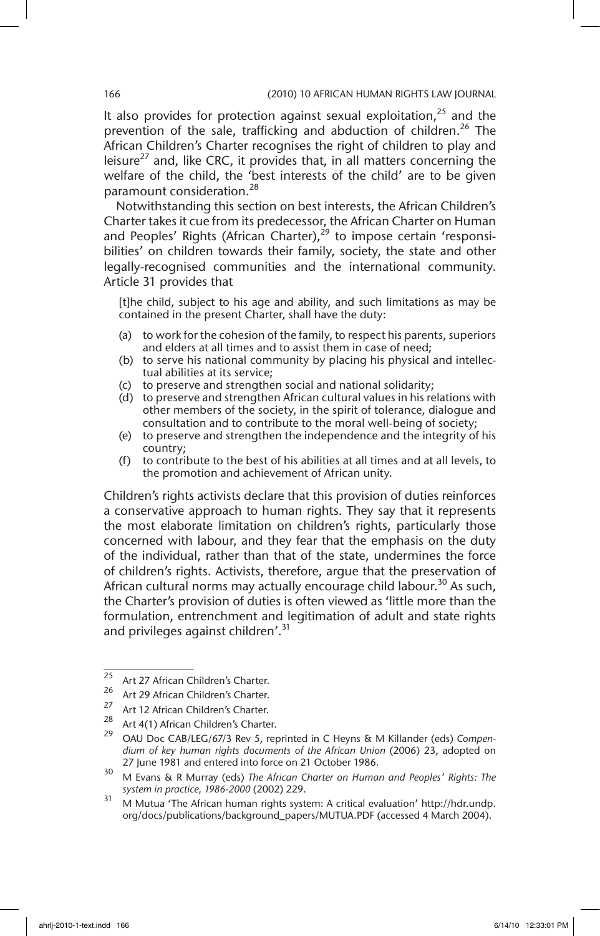It also provides for protection against sexual exploitation, $25$  and the prevention of the sale, trafficking and abduction of children.<sup>26</sup> The African Children's Charter recognises the right of children to play and leisure<sup>27</sup> and, like CRC, it provides that, in all matters concerning the welfare of the child, the 'best interests of the child' are to be given paramount consideration.<sup>28</sup>

Notwithstanding this section on best interests, the African Children's Charter takes it cue from its predecessor, the African Charter on Human and Peoples' Rights (African Charter), $^{29}$  to impose certain 'responsibilities' on children towards their family, society, the state and other legally-recognised communities and the international community. Article 31 provides that

[t]he child, subject to his age and ability, and such limitations as may be contained in the present Charter, shall have the duty:

- (a) to work for the cohesion of the family, to respect his parents, superiors and elders at all times and to assist them in case of need;
- (b) to serve his national community by placing his physical and intellectual abilities at its service;
- (c) to preserve and strengthen social and national solidarity;
- (d) to preserve and strengthen African cultural values in his relations with other members of the society, in the spirit of tolerance, dialogue and consultation and to contribute to the moral well-being of society;
- (e) to preserve and strengthen the independence and the integrity of his country;
- (f) to contribute to the best of his abilities at all times and at all levels, to the promotion and achievement of African unity.

Children's rights activists declare that this provision of duties reinforces a conservative approach to human rights. They say that it represents the most elaborate limitation on children's rights, particularly those concerned with labour, and they fear that the emphasis on the duty of the individual, rather than that of the state, undermines the force of children's rights. Activists, therefore, argue that the preservation of African cultural norms may actually encourage child labour.<sup>30</sup> As such, the Charter's provision of duties is often viewed as 'little more than the formulation, entrenchment and legitimation of adult and state rights and privileges against children'.<sup>31</sup>

 $\frac{25}{26}$  Art 27 African Children's Charter.

<sup>&</sup>lt;sup>26</sup> Art 29 African Children's Charter.

<sup>&</sup>lt;sup>27</sup> Art 12 African Children's Charter.

<sup>&</sup>lt;sup>28</sup> Art 4(1) African Children's Charter.

<sup>29</sup> OAU Doc CAB/LEG/67/3 Rev 5, reprinted in C Heyns & M Killander (eds) *Compendium of key human rights documents of the African Union* (2006) 23, adopted on 27 June 1981 and entered into force on 21 October 1986.

<sup>30</sup> M Evans & R Murray (eds) *The African Charter on Human and Peoples' Rights: The system in practice, 1986-2000* (2002) 229.

<sup>31</sup> M Mutua 'The African human rights system: A critical evaluation' http://hdr.undp. org/docs/publications/background\_papers/MUTUA.PDF (accessed 4 March 2004).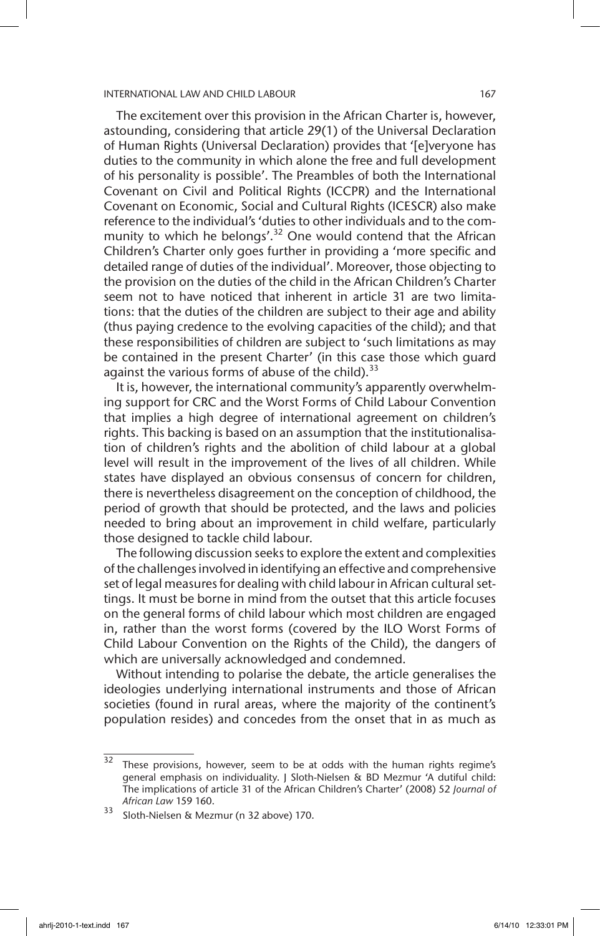The excitement over this provision in the African Charter is, however, astounding, considering that article 29(1) of the Universal Declaration of Human Rights (Universal Declaration) provides that '[e]veryone has duties to the community in which alone the free and full development of his personality is possible'. The Preambles of both the International Covenant on Civil and Political Rights (ICCPR) and the International Covenant on Economic, Social and Cultural Rights (ICESCR) also make reference to the individual's 'duties to other individuals and to the community to which he belongs'. $32$  One would contend that the African Children's Charter only goes further in providing a 'more specific and detailed range of duties of the individual'. Moreover, those objecting to the provision on the duties of the child in the African Children's Charter seem not to have noticed that inherent in article 31 are two limitations: that the duties of the children are subject to their age and ability (thus paying credence to the evolving capacities of the child); and that these responsibilities of children are subject to 'such limitations as may be contained in the present Charter' (in this case those which guard against the various forms of abuse of the child). $33$ 

It is, however, the international community's apparently overwhelming support for CRC and the Worst Forms of Child Labour Convention that implies a high degree of international agreement on children's rights. This backing is based on an assumption that the institutionalisation of children's rights and the abolition of child labour at a global level will result in the improvement of the lives of all children. While states have displayed an obvious consensus of concern for children, there is nevertheless disagreement on the conception of childhood, the period of growth that should be protected, and the laws and policies needed to bring about an improvement in child welfare, particularly those designed to tackle child labour.

The following discussion seeks to explore the extent and complexities of the challenges involved in identifying an effective and comprehensive set of legal measures for dealing with child labour in African cultural settings. It must be borne in mind from the outset that this article focuses on the general forms of child labour which most children are engaged in, rather than the worst forms (covered by the ILO Worst Forms of Child Labour Convention on the Rights of the Child), the dangers of which are universally acknowledged and condemned.

Without intending to polarise the debate, the article generalises the ideologies underlying international instruments and those of African societies (found in rural areas, where the majority of the continent's population resides) and concedes from the onset that in as much as

 $\overline{32}$  These provisions, however, seem to be at odds with the human rights regime's general emphasis on individuality. J Sloth-Nielsen & BD Mezmur 'A dutiful child: The implications of article 31 of the African Children's Charter' (2008) 52 *Journal of African Law* 159 160.

<sup>33</sup> Sloth-Nielsen & Mezmur (n 32 above) 170.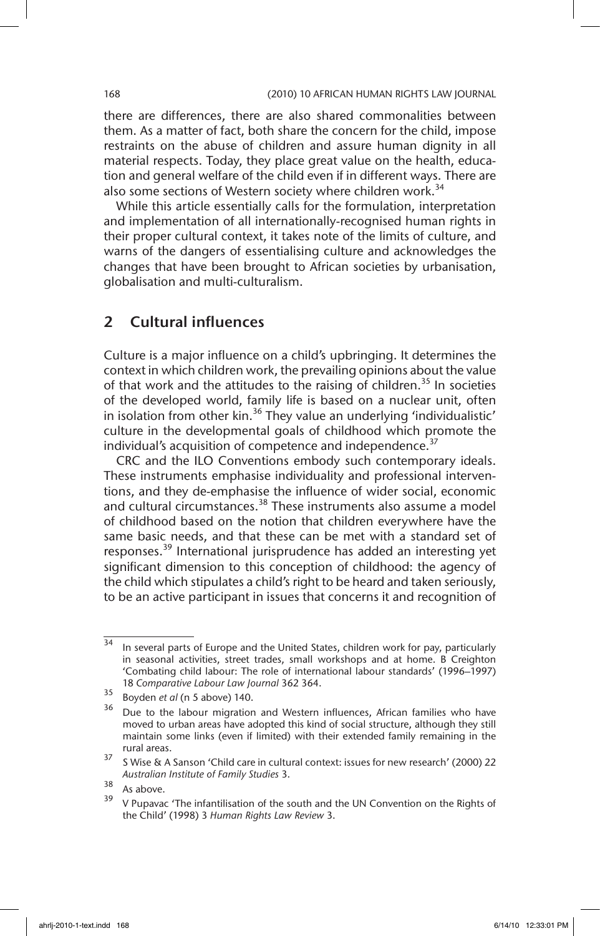there are differences, there are also shared commonalities between them. As a matter of fact, both share the concern for the child, impose restraints on the abuse of children and assure human dignity in all material respects. Today, they place great value on the health, education and general welfare of the child even if in different ways. There are also some sections of Western society where children work.<sup>34</sup>

While this article essentially calls for the formulation, interpretation and implementation of all internationally-recognised human rights in their proper cultural context, it takes note of the limits of culture, and warns of the dangers of essentialising culture and acknowledges the changes that have been brought to African societies by urbanisation, globalisation and multi-culturalism.

# 2 Cultural influences

Culture is a major influence on a child's upbringing. It determines the context in which children work, the prevailing opinions about the value of that work and the attitudes to the raising of children.<sup>35</sup> In societies of the developed world, family life is based on a nuclear unit, often in isolation from other kin.<sup>36</sup> They value an underlying 'individualistic' culture in the developmental goals of childhood which promote the individual's acquisition of competence and independence.<sup>37</sup>

CRC and the ILO Conventions embody such contemporary ideals. These instruments emphasise individuality and professional interventions, and they de-emphasise the influence of wider social, economic and cultural circumstances.<sup>38</sup> These instruments also assume a model of childhood based on the notion that children everywhere have the same basic needs, and that these can be met with a standard set of responses.<sup>39</sup> International jurisprudence has added an interesting yet significant dimension to this conception of childhood: the agency of the child which stipulates a child's right to be heard and taken seriously, to be an active participant in issues that concerns it and recognition of

 $\frac{34}{10}$  In several parts of Europe and the United States, children work for pay, particularly in seasonal activities, street trades, small workshops and at home. B Creighton 'Combating child labour: The role of international labour standards' (1996–1997) 18 *Comparative Labour Law Journal* 362 364.

<sup>35</sup> Boyden *et al* (n 5 above) 140.

 $36$  Due to the labour migration and Western influences, African families who have moved to urban areas have adopted this kind of social structure, although they still maintain some links (even if limited) with their extended family remaining in the rural areas.

 $37$  S Wise & A Sanson 'Child care in cultural context: issues for new research' (2000) 22 *Australian Institute of Family Studies* 3.

 $\frac{38}{39}$  As above.

V Pupavac 'The infantilisation of the south and the UN Convention on the Rights of the Child' (1998) 3 *Human Rights Law Review* 3.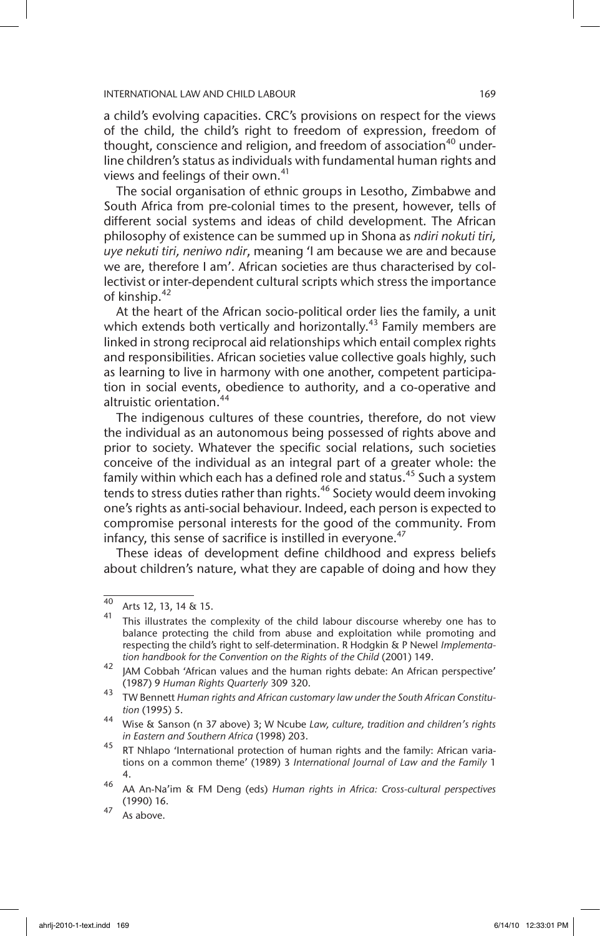a child's evolving capacities. CRC's provisions on respect for the views of the child, the child's right to freedom of expression, freedom of thought, conscience and religion, and freedom of association<sup>40</sup> underline children's status as individuals with fundamental human rights and views and feelings of their own. $41$ 

The social organisation of ethnic groups in Lesotho, Zimbabwe and South Africa from pre-colonial times to the present, however, tells of different social systems and ideas of child development. The African philosophy of existence can be summed up in Shona as *ndiri nokuti tiri, uye nekuti tiri, neniwo ndir*, meaning 'I am because we are and because we are, therefore I am'. African societies are thus characterised by collectivist or inter-dependent cultural scripts which stress the importance of kinship.42

At the heart of the African socio-political order lies the family, a unit which extends both vertically and horizontally.<sup>43</sup> Family members are linked in strong reciprocal aid relationships which entail complex rights and responsibilities. African societies value collective goals highly, such as learning to live in harmony with one another, competent participation in social events, obedience to authority, and a co-operative and altruistic orientation.44

The indigenous cultures of these countries, therefore, do not view the individual as an autonomous being possessed of rights above and prior to society. Whatever the specific social relations, such societies conceive of the individual as an integral part of a greater whole: the family within which each has a defined role and status.<sup>45</sup> Such a system tends to stress duties rather than rights.<sup>46</sup> Society would deem invoking one's rights as anti-social behaviour. Indeed, each person is expected to compromise personal interests for the good of the community. From infancy, this sense of sacrifice is instilled in everyone.<sup>47</sup>

These ideas of development define childhood and express beliefs about children's nature, what they are capable of doing and how they

<sup>40</sup> Arts 12, 13, 14 & 15.

This illustrates the complexity of the child labour discourse whereby one has to balance protecting the child from abuse and exploitation while promoting and respecting the child's right to self-determination. R Hodgkin & P Newel *Implementation handbook for the Convention on the Rights of the Child* (2001) 149.

<sup>42</sup> JAM Cobbah 'African values and the human rights debate: An African perspective' (1987) 9 *Human Rights Quarterly* 309 320.

<sup>43</sup> TW Bennett *Human rights and African customary law under the South African Constitution* (1995) 5.

<sup>44</sup> Wise & Sanson (n 37 above) 3; W Ncube *Law, culture, tradition and children's rights in Eastern and Southern Africa* (1998) 203.

<sup>45</sup> RT Nhlapo 'International protection of human rights and the family: African variations on a common theme' (1989) 3 *International Journal of Law and the Family* 1 4.

<sup>46</sup> AA An-Na'im & FM Deng (eds) *Human rights in Africa: Cross-cultural perspectives* (1990) 16.

 $47$  As above.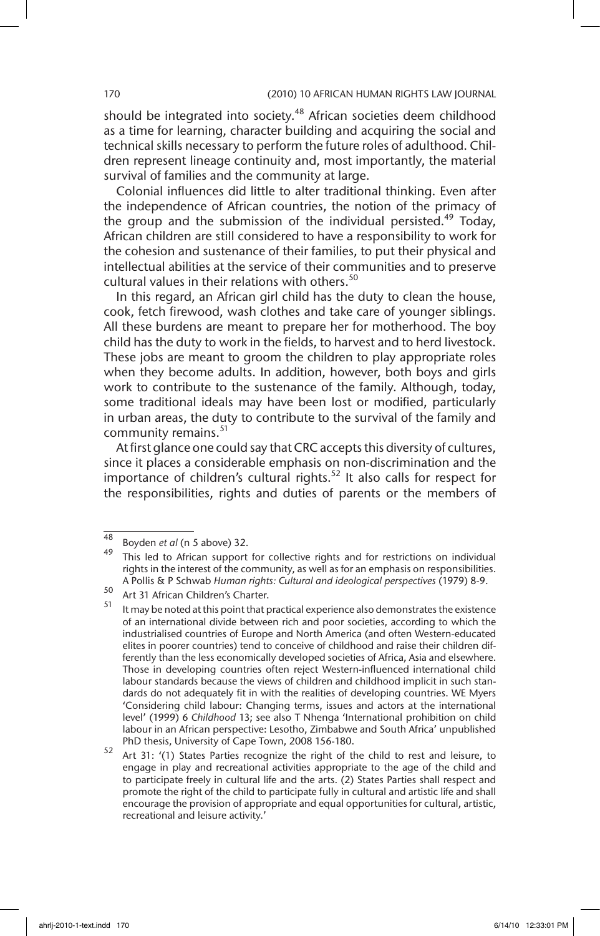should be integrated into society.<sup>48</sup> African societies deem childhood as a time for learning, character building and acquiring the social and technical skills necessary to perform the future roles of adulthood. Children represent lineage continuity and, most importantly, the material survival of families and the community at large.

Colonial influences did little to alter traditional thinking. Even after the independence of African countries, the notion of the primacy of the group and the submission of the individual persisted.<sup>49</sup> Today, African children are still considered to have a responsibility to work for the cohesion and sustenance of their families, to put their physical and intellectual abilities at the service of their communities and to preserve cultural values in their relations with others.<sup>50</sup>

In this regard, an African girl child has the duty to clean the house, cook, fetch firewood, wash clothes and take care of younger siblings. All these burdens are meant to prepare her for motherhood. The boy child has the duty to work in the fields, to harvest and to herd livestock. These jobs are meant to groom the children to play appropriate roles when they become adults. In addition, however, both boys and girls work to contribute to the sustenance of the family. Although, today, some traditional ideals may have been lost or modified, particularly in urban areas, the duty to contribute to the survival of the family and community remains.<sup>51</sup>

At first glance one could say that CRC accepts this diversity of cultures, since it places a considerable emphasis on non-discrimination and the importance of children's cultural rights.<sup>52</sup> It also calls for respect for the responsibilities, rights and duties of parents or the members of

 $\frac{48}{48}$  Boyden *et al* (n 5 above) 32.

<sup>49</sup> This led to African support for collective rights and for restrictions on individual rights in the interest of the community, as well as for an emphasis on responsibilities. A Pollis & P Schwab *Human rights: Cultural and ideological perspectives* (1979) 8-9.

 $\frac{50}{51}$  Art 31 African Children's Charter.

It may be noted at this point that practical experience also demonstrates the existence of an international divide between rich and poor societies, according to which the industrialised countries of Europe and North America (and often Western-educated elites in poorer countries) tend to conceive of childhood and raise their children differently than the less economically developed societies of Africa, Asia and elsewhere. Those in developing countries often reject Western-influenced international child labour standards because the views of children and childhood implicit in such standards do not adequately fit in with the realities of developing countries. WE Myers 'Considering child labour: Changing terms, issues and actors at the international level' (1999) 6 *Childhood* 13; see also T Nhenga 'International prohibition on child labour in an African perspective: Lesotho, Zimbabwe and South Africa' unpublished PhD thesis, University of Cape Town, 2008 156-180.

<sup>52</sup> Art 31: '(1) States Parties recognize the right of the child to rest and leisure, to engage in play and recreational activities appropriate to the age of the child and to participate freely in cultural life and the arts. (2) States Parties shall respect and promote the right of the child to participate fully in cultural and artistic life and shall encourage the provision of appropriate and equal opportunities for cultural, artistic, recreational and leisure activity.'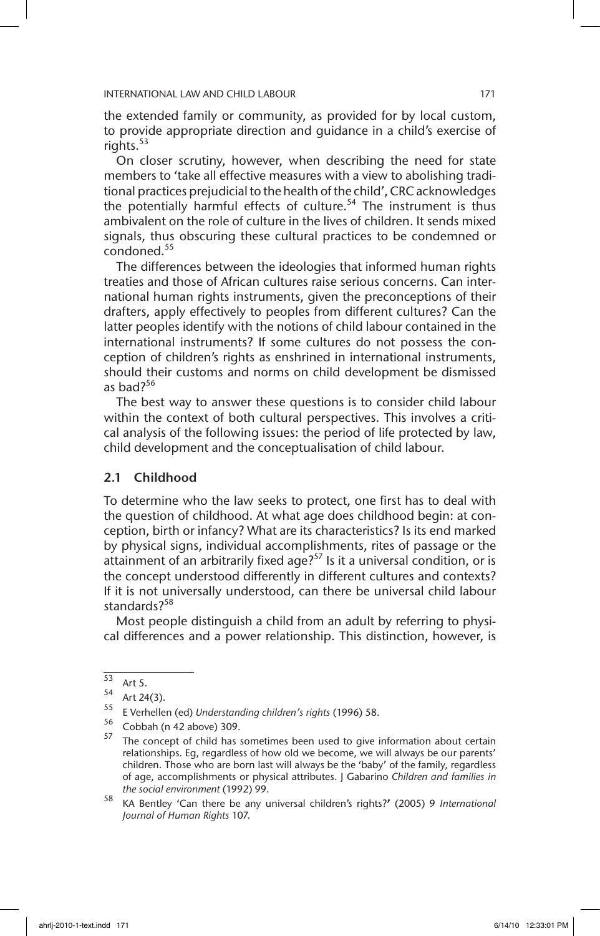the extended family or community, as provided for by local custom, to provide appropriate direction and guidance in a child's exercise of rights. $53$ 

On closer scrutiny, however, when describing the need for state members to 'take all effective measures with a view to abolishing traditional practices prejudicial to the health of the child', CRC acknowledges the potentially harmful effects of culture.<sup>54</sup> The instrument is thus ambivalent on the role of culture in the lives of children. It sends mixed signals, thus obscuring these cultural practices to be condemned or condoned.<sup>55</sup>

The differences between the ideologies that informed human rights treaties and those of African cultures raise serious concerns. Can international human rights instruments, given the preconceptions of their drafters, apply effectively to peoples from different cultures? Can the latter peoples identify with the notions of child labour contained in the international instruments? If some cultures do not possess the conception of children's rights as enshrined in international instruments, should their customs and norms on child development be dismissed as bad?56

The best way to answer these questions is to consider child labour within the context of both cultural perspectives. This involves a critical analysis of the following issues: the period of life protected by law, child development and the conceptualisation of child labour.

# 2.1 Childhood

To determine who the law seeks to protect, one first has to deal with the question of childhood. At what age does childhood begin: at conception, birth or infancy? What are its characteristics? Is its end marked by physical signs, individual accomplishments, rites of passage or the attainment of an arbitrarily fixed age? $57$  Is it a universal condition, or is the concept understood differently in different cultures and contexts? If it is not universally understood, can there be universal child labour standards?<sup>58</sup>

Most people distinguish a child from an adult by referring to physical differences and a power relationship. This distinction, however, is

 $\frac{53}{54}$  Art 5.

 $54$  Art 24(3).<br> $55$  F Verhelle

<sup>55</sup> E Verhellen (ed) *Understanding children's rights* (1996) 58.

<sup>56</sup> Cobbah (n 42 above) 309.

<sup>&</sup>lt;sup>57</sup> The concept of child has sometimes been used to give information about certain relationships. Eg, regardless of how old we become, we will always be our parents' children. Those who are born last will always be the 'baby' of the family, regardless of age, accomplishments or physical attributes. J Gabarino *Children and families in the social environment* (1992) 99.

<sup>58</sup> KA Bentley 'Can there be any universal children's rights?**'** (2005) 9 *International Journal of Human Rights* 107.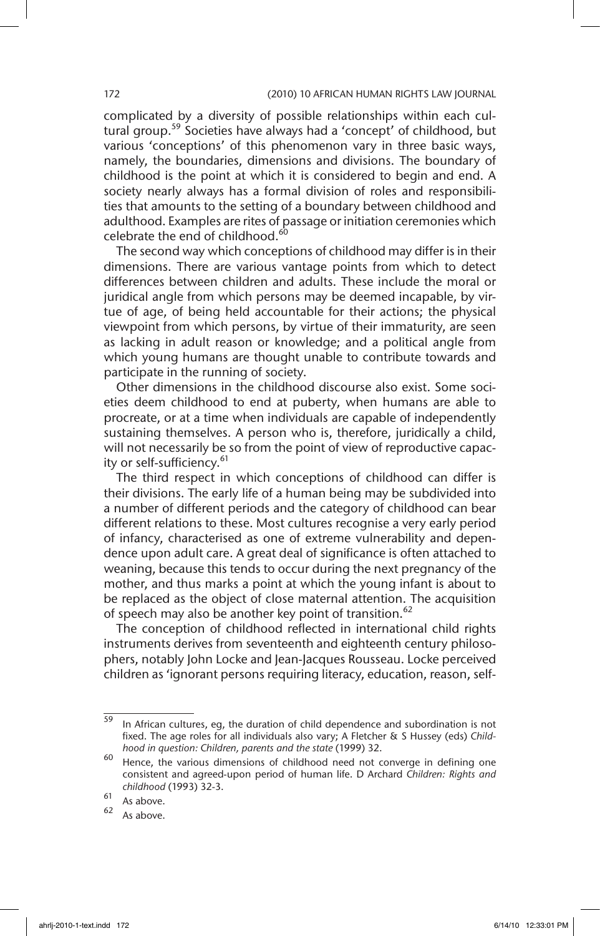complicated by a diversity of possible relationships within each cultural group.<sup>59</sup> Societies have always had a 'concept' of childhood, but various 'conceptions' of this phenomenon vary in three basic ways, namely, the boundaries, dimensions and divisions. The boundary of childhood is the point at which it is considered to begin and end. A society nearly always has a formal division of roles and responsibilities that amounts to the setting of a boundary between childhood and adulthood. Examples are rites of passage or initiation ceremonies which celebrate the end of childhood.<sup>60</sup>

The second way which conceptions of childhood may differ is in their dimensions. There are various vantage points from which to detect differences between children and adults. These include the moral or juridical angle from which persons may be deemed incapable, by virtue of age, of being held accountable for their actions; the physical viewpoint from which persons, by virtue of their immaturity, are seen as lacking in adult reason or knowledge; and a political angle from which young humans are thought unable to contribute towards and participate in the running of society.

Other dimensions in the childhood discourse also exist. Some societies deem childhood to end at puberty, when humans are able to procreate, or at a time when individuals are capable of independently sustaining themselves. A person who is, therefore, juridically a child, will not necessarily be so from the point of view of reproductive capacity or self-sufficiency.<sup>61</sup>

The third respect in which conceptions of childhood can differ is their divisions. The early life of a human being may be subdivided into a number of different periods and the category of childhood can bear different relations to these. Most cultures recognise a very early period of infancy, characterised as one of extreme vulnerability and dependence upon adult care. A great deal of significance is often attached to weaning, because this tends to occur during the next pregnancy of the mother, and thus marks a point at which the young infant is about to be replaced as the object of close maternal attention. The acquisition of speech may also be another key point of transition.<sup>62</sup>

The conception of childhood reflected in international child rights instruments derives from seventeenth and eighteenth century philosophers, notably John Locke and Jean-Jacques Rousseau. Locke perceived children as 'ignorant persons requiring literacy, education, reason, self-

 $\frac{59}{10}$  In African cultures, eg, the duration of child dependence and subordination is not fixed. The age roles for all individuals also vary; A Fletcher & S Hussey (eds) *Childhood in question: Children, parents and the state* (1999) 32.

 $60$  Hence, the various dimensions of childhood need not converge in defining one consistent and agreed-upon period of human life. D Archard *Children: Rights and childhood* (1993) 32-3.

 $\begin{matrix} 61 \\ 62 \end{matrix}$  As above.

As above.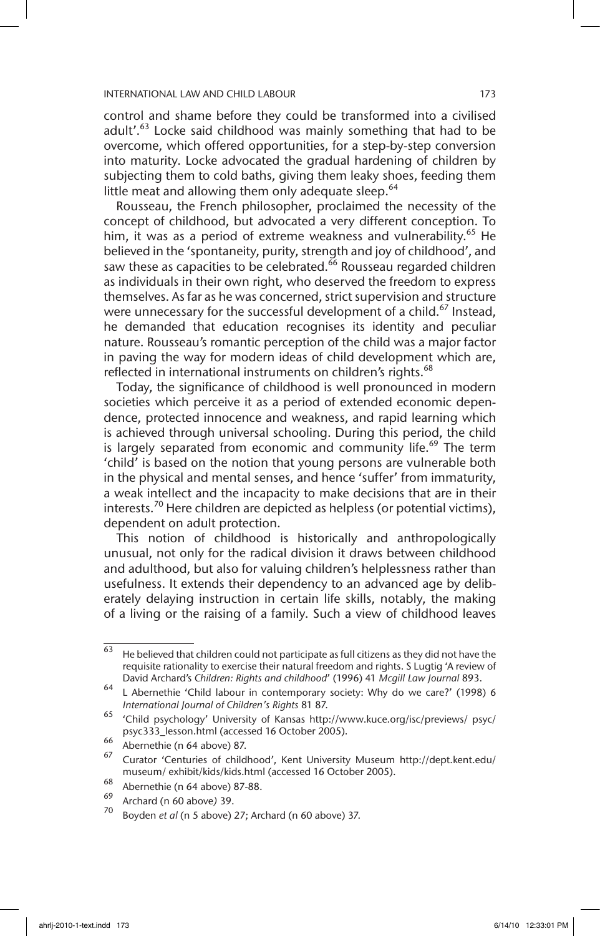control and shame before they could be transformed into a civilised adult'.<sup>63</sup> Locke said childhood was mainly something that had to be overcome, which offered opportunities, for a step-by-step conversion into maturity. Locke advocated the gradual hardening of children by subjecting them to cold baths, giving them leaky shoes, feeding them little meat and allowing them only adequate sleep. $64$ 

Rousseau, the French philosopher, proclaimed the necessity of the concept of childhood, but advocated a very different conception. To him, it was as a period of extreme weakness and vulnerability.<sup>65</sup> He believed in the 'spontaneity, purity, strength and joy of childhood', and saw these as capacities to be celebrated.<sup>66</sup> Rousseau regarded children as individuals in their own right, who deserved the freedom to express themselves. As far as he was concerned, strict supervision and structure were unnecessary for the successful development of a child.<sup>67</sup> Instead, he demanded that education recognises its identity and peculiar nature. Rousseau's romantic perception of the child was a major factor in paving the way for modern ideas of child development which are, reflected in international instruments on children's rights.<sup>68</sup>

Today, the significance of childhood is well pronounced in modern societies which perceive it as a period of extended economic dependence, protected innocence and weakness, and rapid learning which is achieved through universal schooling. During this period, the child is largely separated from economic and community life.<sup>69</sup> The term 'child' is based on the notion that young persons are vulnerable both in the physical and mental senses, and hence 'suffer' from immaturity, a weak intellect and the incapacity to make decisions that are in their interests.<sup>70</sup> Here children are depicted as helpless (or potential victims), dependent on adult protection.

This notion of childhood is historically and anthropologically unusual, not only for the radical division it draws between childhood and adulthood, but also for valuing children's helplessness rather than usefulness. It extends their dependency to an advanced age by deliberately delaying instruction in certain life skills, notably, the making of a living or the raising of a family. Such a view of childhood leaves

 $\frac{63}{63}$  He believed that children could not participate as full citizens as they did not have the requisite rationality to exercise their natural freedom and rights. S Lugtig 'A review of David Archard's *Children: Rights and childhood*' (1996) 41 *Mcgill Law Journal* 893.

<sup>64</sup> L Abernethie 'Child labour in contemporary society: Why do we care?' (1998) 6 *International Journal of Children's Rights* 81 87.

<sup>65</sup> 'Child psychology' University of Kansas http://www.kuce.org/isc/previews/ psyc/ psyc333\_lesson.html (accessed 16 October 2005).

 $^{66}$  Abernethie (n 64 above) 87.

<sup>67</sup> Curator 'Centuries of childhood', Kent University Museum http://dept.kent.edu/ museum/ exhibit/kids/kids.html (accessed 16 October 2005).

<sup>68</sup> Abernethie (n 64 above) 87-88.

<sup>69</sup> Archard (n 60 above*)* 39.

Boyden *et al* (n 5 above) 27; Archard (n 60 above) 37.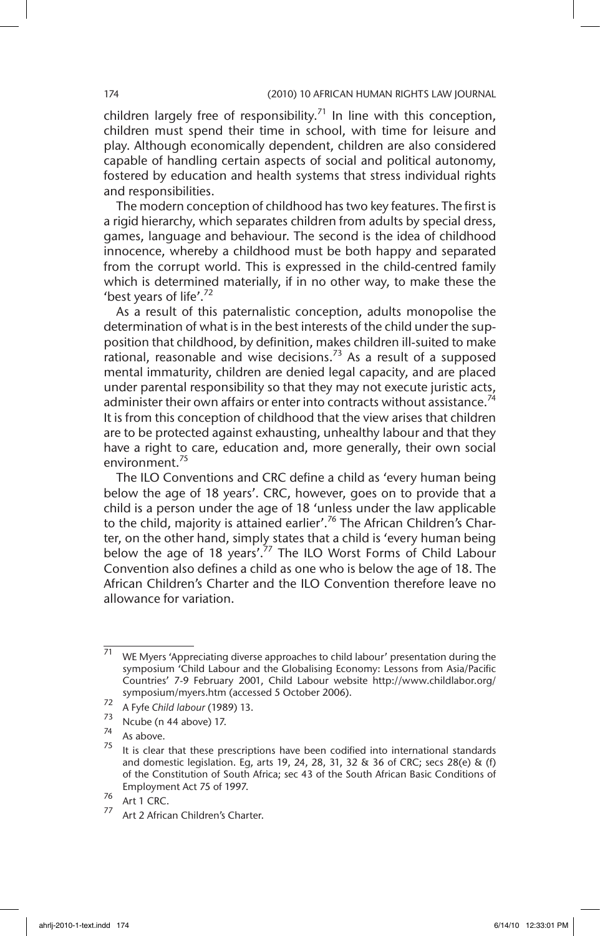children largely free of responsibility.<sup>71</sup> In line with this conception, children must spend their time in school, with time for leisure and play. Although economically dependent, children are also considered capable of handling certain aspects of social and political autonomy, fostered by education and health systems that stress individual rights and responsibilities.

The modern conception of childhood has two key features. The first is a rigid hierarchy, which separates children from adults by special dress, games, language and behaviour. The second is the idea of childhood innocence, whereby a childhood must be both happy and separated from the corrupt world. This is expressed in the child-centred family which is determined materially, if in no other way, to make these the 'best years of life'.<sup>72</sup>

As a result of this paternalistic conception, adults monopolise the determination of what is in the best interests of the child under the supposition that childhood, by definition, makes children ill-suited to make rational, reasonable and wise decisions.<sup>73</sup> As a result of a supposed mental immaturity, children are denied legal capacity, and are placed under parental responsibility so that they may not execute juristic acts, administer their own affairs or enter into contracts without assistance.<sup>74</sup> It is from this conception of childhood that the view arises that children are to be protected against exhausting, unhealthy labour and that they have a right to care, education and, more generally, their own social environment.<sup>75</sup>

The ILO Conventions and CRC define a child as 'every human being below the age of 18 years'. CRC, however, goes on to provide that a child is a person under the age of 18 'unless under the law applicable to the child, majority is attained earlier'.<sup>76</sup> The African Children's Charter, on the other hand, simply states that a child is 'every human being below the age of 18 years'.<sup>77</sup> The ILO Worst Forms of Child Labour Convention also defines a child as one who is below the age of 18. The African Children's Charter and the ILO Convention therefore leave no allowance for variation.

 $71$  WE Myers 'Appreciating diverse approaches to child labour' presentation during the symposium 'Child Labour and the Globalising Economy: Lessons from Asia/Pacific Countries' 7-9 February 2001, Child Labour website http://www.childlabor.org/ symposium/myers.htm (accessed 5 October 2006).

<sup>72&</sup>lt;br>A Fyfe *Child labour* (1989) 13.<br><sup>73</sup> Natha (p. 44 above) 17

 $\frac{73}{74}$  Ncube (n 44 above) 17.

 $\frac{74}{75}$  As above.

It is clear that these prescriptions have been codified into international standards and domestic legislation. Eg, arts 19, 24, 28, 31, 32 & 36 of CRC; secs 28(e) & (f) of the Constitution of South Africa; sec 43 of the South African Basic Conditions of Employment Act 75 of 1997.

 $\frac{76}{77}$  Art 1 CRC.

Art 2 African Children's Charter.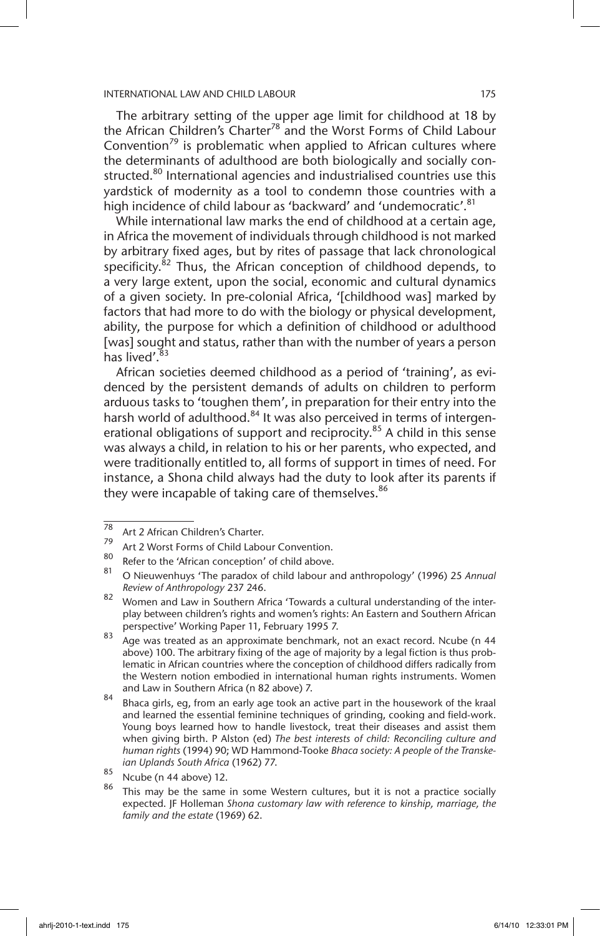The arbitrary setting of the upper age limit for childhood at 18 by the African Children's Charter<sup>78</sup> and the Worst Forms of Child Labour Convention<sup>79</sup> is problematic when applied to African cultures where the determinants of adulthood are both biologically and socially constructed.<sup>80</sup> International agencies and industrialised countries use this yardstick of modernity as a tool to condemn those countries with a high incidence of child labour as 'backward' and 'undemocratic'.<sup>81</sup>

While international law marks the end of childhood at a certain age, in Africa the movement of individuals through childhood is not marked by arbitrary fixed ages, but by rites of passage that lack chronological specificity.<sup>82</sup> Thus, the African conception of childhood depends, to a very large extent, upon the social, economic and cultural dynamics of a given society. In pre-colonial Africa, '[childhood was] marked by factors that had more to do with the biology or physical development, ability, the purpose for which a definition of childhood or adulthood [was] sought and status, rather than with the number of years a person has lived'. $83$ 

African societies deemed childhood as a period of 'training', as evidenced by the persistent demands of adults on children to perform arduous tasks to 'toughen them', in preparation for their entry into the harsh world of adulthood.<sup>84</sup> It was also perceived in terms of intergenerational obligations of support and reciprocity.<sup>85</sup> A child in this sense was always a child, in relation to his or her parents, who expected, and were traditionally entitled to, all forms of support in times of need. For instance, a Shona child always had the duty to look after its parents if they were incapable of taking care of themselves.<sup>86</sup>

 $\frac{78}{79}$  Art 2 African Children's Charter.

<sup>&</sup>lt;sup>79</sup> Art 2 Worst Forms of Child Labour Convention.

 $\frac{80}{100}$  Refer to the 'African conception' of child above.

<sup>81</sup> O Nieuwenhuys 'The paradox of child labour and anthropology' (1996) 25 *Annual Review of Anthropology* 237 246.

<sup>82</sup> Women and Law in Southern Africa 'Towards a cultural understanding of the interplay between children's rights and women's rights: An Eastern and Southern African perspective' Working Paper 11, February 1995 7.

<sup>83</sup> Age was treated as an approximate benchmark, not an exact record. Ncube (n 44 above) 100. The arbitrary fixing of the age of majority by a legal fiction is thus problematic in African countries where the conception of childhood differs radically from the Western notion embodied in international human rights instruments. Women and Law in Southern Africa (n 82 above) 7.

 $84$  Bhaca girls, eg, from an early age took an active part in the housework of the kraal and learned the essential feminine techniques of grinding, cooking and field-work. Young boys learned how to handle livestock, treat their diseases and assist them when giving birth. P Alston (ed) *The best interests of child: Reconciling culture and human rights* (1994) 90; WD Hammond-Tooke *Bhaca society: A people of the Transkeian Uplands South Africa* (1962) 77.

 $\frac{85}{86}$  Ncube (n 44 above) 12.

This may be the same in some Western cultures, but it is not a practice socially expected. JF Holleman *Shona customary law with reference to kinship, marriage, the family and the estate* (1969) 62.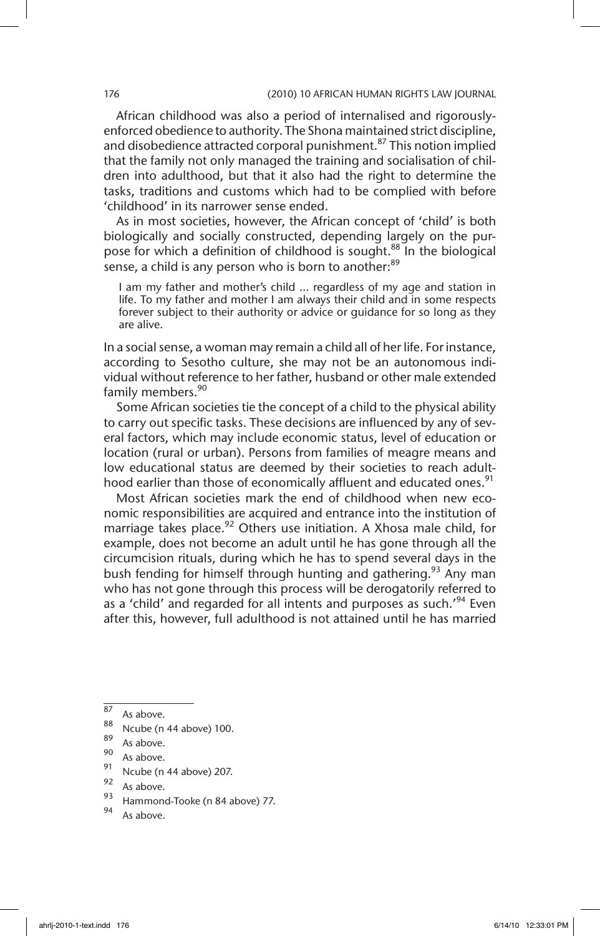African childhood was also a period of internalised and rigorouslyenforced obedience to authority. The Shona maintained strict discipline, and disobedience attracted corporal punishment.<sup>87</sup> This notion implied that the family not only managed the training and socialisation of children into adulthood, but that it also had the right to determine the tasks, traditions and customs which had to be complied with before 'childhood' in its narrower sense ended.

As in most societies, however, the African concept of 'child' is both biologically and socially constructed, depending largely on the purpose for which a definition of childhood is sought.<sup>88</sup> In the biological sense, a child is any person who is born to another:<sup>89</sup>

I am my father and mother's child … regardless of my age and station in life. To my father and mother I am always their child and in some respects forever subject to their authority or advice or guidance for so long as they are alive.

In a social sense, a woman may remain a child all of her life. For instance, according to Sesotho culture, she may not be an autonomous individual without reference to her father, husband or other male extended family members.<sup>90</sup>

Some African societies tie the concept of a child to the physical ability to carry out specific tasks. These decisions are influenced by any of several factors, which may include economic status, level of education or location (rural or urban). Persons from families of meagre means and low educational status are deemed by their societies to reach adulthood earlier than those of economically affluent and educated ones.<sup>91</sup>

Most African societies mark the end of childhood when new economic responsibilities are acquired and entrance into the institution of marriage takes place.<sup>92</sup> Others use initiation. A Xhosa male child, for example, does not become an adult until he has gone through all the circumcision rituals, during which he has to spend several days in the bush fending for himself through hunting and gathering.<sup>93</sup> Any man who has not gone through this process will be derogatorily referred to as a 'child' and regarded for all intents and purposes as such.<sup>'94</sup> Even after this, however, full adulthood is not attained until he has married

- $\frac{88}{89}$  Ncube (n 44 above) 100.
- $\begin{array}{c} 89 \\ 90 \end{array}$  As above.
- $\frac{90}{91}$  As above.
- $\frac{91}{92}$  Ncube (n 44 above) 207.
- $^{92}$  As above.
- $^{95}$  Hammond-Tooke (n 84 above) 77.
- As above.

 $\begin{array}{c} 87 \\ 88 \end{array}$  As above.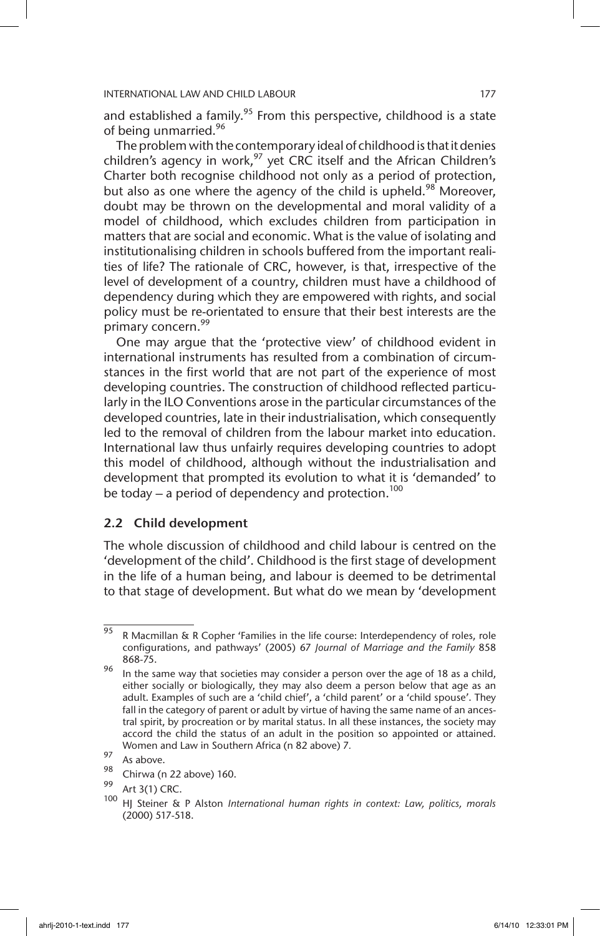and established a family.<sup>95</sup> From this perspective, childhood is a state of being unmarried.<sup>96</sup>

The problem with the contemporary ideal of childhood is that it denies children's agency in work, $^{97}$  yet CRC itself and the African Children's Charter both recognise childhood not only as a period of protection, but also as one where the agency of the child is upheld.<sup>98</sup> Moreover, doubt may be thrown on the developmental and moral validity of a model of childhood, which excludes children from participation in matters that are social and economic. What is the value of isolating and institutionalising children in schools buffered from the important realities of life? The rationale of CRC, however, is that, irrespective of the level of development of a country, children must have a childhood of dependency during which they are empowered with rights, and social policy must be re-orientated to ensure that their best interests are the primary concern.<sup>99</sup>

One may argue that the 'protective view' of childhood evident in international instruments has resulted from a combination of circumstances in the first world that are not part of the experience of most developing countries. The construction of childhood reflected particularly in the ILO Conventions arose in the particular circumstances of the developed countries, late in their industrialisation, which consequently led to the removal of children from the labour market into education. International law thus unfairly requires developing countries to adopt this model of childhood, although without the industrialisation and development that prompted its evolution to what it is 'demanded' to be today – a period of dependency and protection.<sup>100</sup>

# 2.2 Child development

The whole discussion of childhood and child labour is centred on the 'development of the child'. Childhood is the first stage of development in the life of a human being, and labour is deemed to be detrimental to that stage of development. But what do we mean by 'development

 $\frac{1}{95}$  R Macmillan & R Copher 'Families in the life course: Interdependency of roles, role configurations, and pathways' (2005) 67 *Journal of Marriage and the Family* 858 868-75.

<sup>96</sup> In the same way that societies may consider a person over the age of 18 as a child, either socially or biologically, they may also deem a person below that age as an adult. Examples of such are a 'child chief', a 'child parent' or a 'child spouse'. They fall in the category of parent or adult by virtue of having the same name of an ancestral spirit, by procreation or by marital status. In all these instances, the society may accord the child the status of an adult in the position so appointed or attained. Women and Law in Southern Africa (n 82 above) 7*.*

 $\frac{97}{98}$  As above.

 $^{98}$  Chirwa (n 22 above) 160.

 $^{99}$  Art 3(1) CRC.

HJ Steiner & P Alston *International human rights in context: Law, politics, morals* (2000) 517-518.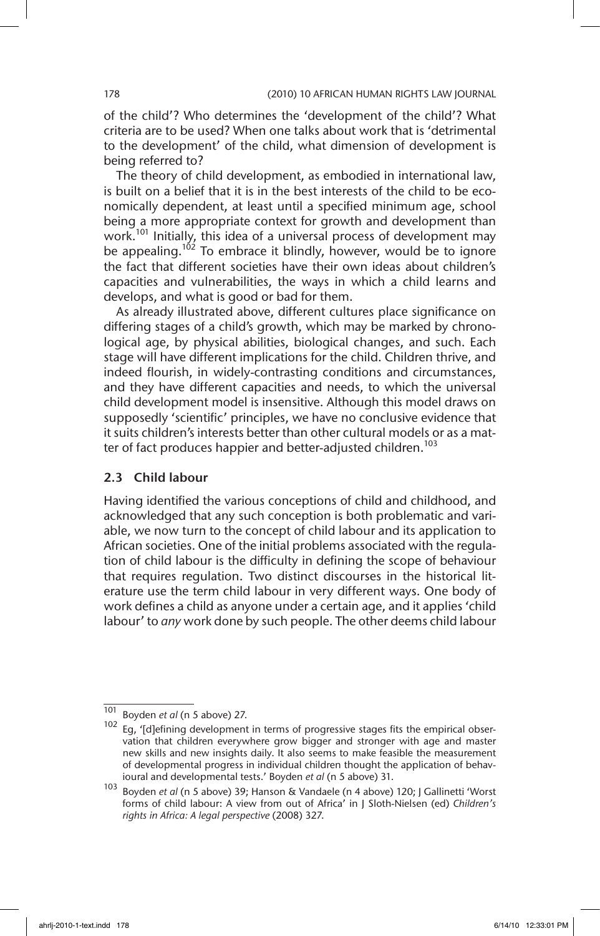of the child'? Who determines the 'development of the child'? What criteria are to be used? When one talks about work that is 'detrimental to the development' of the child, what dimension of development is being referred to?

The theory of child development, as embodied in international law, is built on a belief that it is in the best interests of the child to be economically dependent, at least until a specified minimum age, school being a more appropriate context for growth and development than work.<sup>101</sup> Initially, this idea of a universal process of development may be appealing.<sup>102</sup> To embrace it blindly, however, would be to ignore the fact that different societies have their own ideas about children's capacities and vulnerabilities, the ways in which a child learns and develops, and what is good or bad for them.

As already illustrated above, different cultures place significance on differing stages of a child's growth, which may be marked by chronological age, by physical abilities, biological changes, and such. Each stage will have different implications for the child. Children thrive, and indeed flourish, in widely-contrasting conditions and circumstances, and they have different capacities and needs, to which the universal child development model is insensitive. Although this model draws on supposedly 'scientific' principles, we have no conclusive evidence that it suits children's interests better than other cultural models or as a matter of fact produces happier and better-adjusted children.<sup>103</sup>

# 2.3 Child labour

Having identified the various conceptions of child and childhood, and acknowledged that any such conception is both problematic and variable, we now turn to the concept of child labour and its application to African societies. One of the initial problems associated with the regulation of child labour is the difficulty in defining the scope of behaviour that requires regulation. Two distinct discourses in the historical literature use the term child labour in very different ways. One body of work defines a child as anyone under a certain age, and it applies 'child labour' to *any* work done by such people. The other deems child labour

<sup>101</sup> Boyden *et al* (n 5 above) 27.

<sup>102</sup> Eg, '[d]efining development in terms of progressive stages fits the empirical observation that children everywhere grow bigger and stronger with age and master new skills and new insights daily. It also seems to make feasible the measurement of developmental progress in individual children thought the application of behavioural and developmental tests.' Boyden *et al* (n 5 above) 31.

<sup>103</sup> Boyden *et al* (n 5 above) 39; Hanson & Vandaele (n 4 above) 120; J Gallinetti 'Worst forms of child labour: A view from out of Africa' in J Sloth-Nielsen (ed) *Children's rights in Africa: A legal perspective* (2008) 327.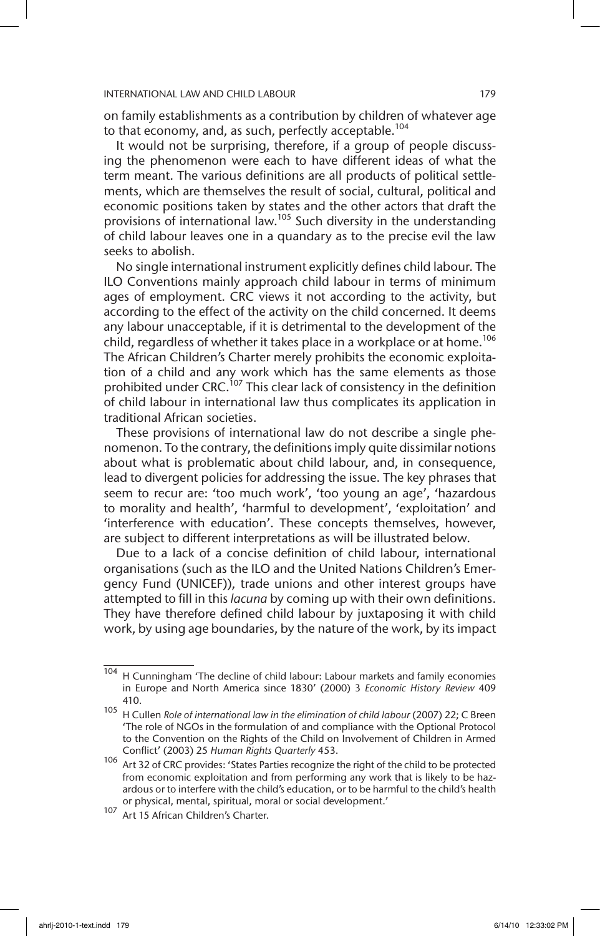on family establishments as a contribution by children of whatever age to that economy, and, as such, perfectly acceptable.<sup>104</sup>

It would not be surprising, therefore, if a group of people discussing the phenomenon were each to have different ideas of what the term meant. The various definitions are all products of political settlements, which are themselves the result of social, cultural, political and economic positions taken by states and the other actors that draft the provisions of international law.105 Such diversity in the understanding of child labour leaves one in a quandary as to the precise evil the law seeks to abolish.

No single international instrument explicitly defines child labour. The ILO Conventions mainly approach child labour in terms of minimum ages of employment. CRC views it not according to the activity, but according to the effect of the activity on the child concerned. It deems any labour unacceptable, if it is detrimental to the development of the child, regardless of whether it takes place in a workplace or at home.<sup>106</sup> The African Children's Charter merely prohibits the economic exploitation of a child and any work which has the same elements as those prohibited under CRC.<sup>107</sup> This clear lack of consistency in the definition of child labour in international law thus complicates its application in traditional African societies.

These provisions of international law do not describe a single phenomenon. To the contrary, the definitions imply quite dissimilar notions about what is problematic about child labour, and, in consequence, lead to divergent policies for addressing the issue. The key phrases that seem to recur are: 'too much work', 'too young an age', 'hazardous to morality and health', 'harmful to development', 'exploitation' and 'interference with education'. These concepts themselves, however, are subject to different interpretations as will be illustrated below.

Due to a lack of a concise definition of child labour, international organisations (such as the ILO and the United Nations Children's Emergency Fund (UNICEF)), trade unions and other interest groups have attempted to fill in this *lacuna* by coming up with their own definitions. They have therefore defined child labour by juxtaposing it with child work, by using age boundaries, by the nature of the work, by its impact

 $104$  H Cunningham 'The decline of child labour: Labour markets and family economies in Europe and North America since 1830' (2000) 3 *Economic History Review* 409 410.

<sup>105</sup> H Cullen *Role of international law in the elimination of child labour* (2007) 22; C Breen 'The role of NGOs in the formulation of and compliance with the Optional Protocol to the Convention on the Rights of the Child on Involvement of Children in Armed Conflict' (2003) 25 *Human Rights Quarterly* 453.

<sup>106</sup> Art 32 of CRC provides: 'States Parties recognize the right of the child to be protected from economic exploitation and from performing any work that is likely to be hazardous or to interfere with the child's education, or to be harmful to the child's health or physical, mental, spiritual, moral or social development.'

<sup>107</sup> Art 15 African Children's Charter.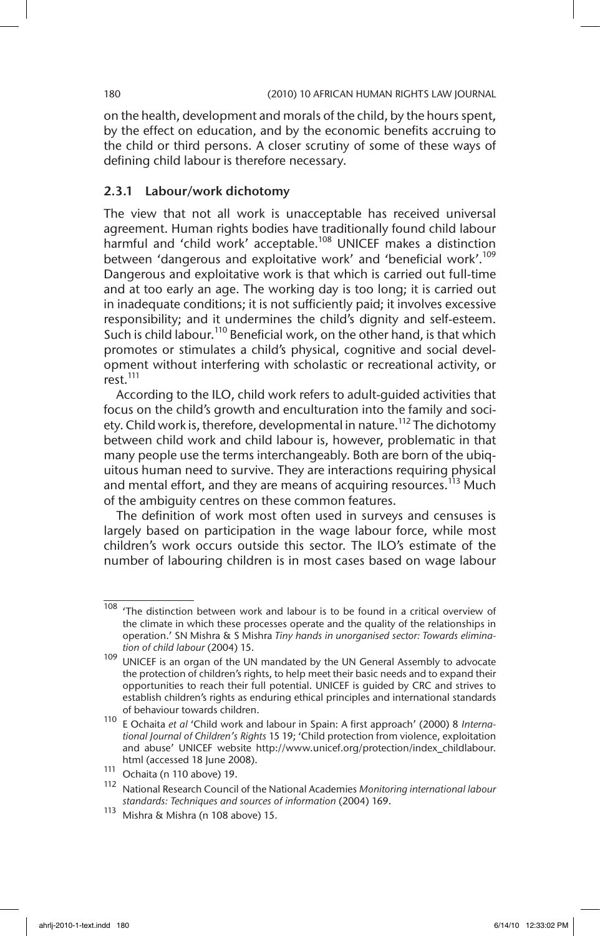on the health, development and morals of the child, by the hours spent, by the effect on education, and by the economic benefits accruing to the child or third persons. A closer scrutiny of some of these ways of defining child labour is therefore necessary.

# 2.3.1 Labour/work dichotomy

The view that not all work is unacceptable has received universal agreement. Human rights bodies have traditionally found child labour harmful and 'child work' acceptable.<sup>108</sup> UNICEF makes a distinction between 'dangerous and exploitative work' and 'beneficial work'.<sup>109</sup> Dangerous and exploitative work is that which is carried out full-time and at too early an age. The working day is too long; it is carried out in inadequate conditions; it is not sufficiently paid; it involves excessive responsibility; and it undermines the child's dignity and self-esteem. Such is child labour.<sup>110</sup> Beneficial work, on the other hand, is that which promotes or stimulates a child's physical, cognitive and social development without interfering with scholastic or recreational activity, or rest.<sup>111</sup>

According to the ILO, child work refers to adult-guided activities that focus on the child's growth and enculturation into the family and society. Child work is, therefore, developmental in nature.<sup>112</sup> The dichotomy between child work and child labour is, however, problematic in that many people use the terms interchangeably. Both are born of the ubiquitous human need to survive. They are interactions requiring physical and mental effort, and they are means of acquiring resources.<sup>113</sup> Much of the ambiguity centres on these common features.

The definition of work most often used in surveys and censuses is largely based on participation in the wage labour force, while most children's work occurs outside this sector. The ILO's estimate of the number of labouring children is in most cases based on wage labour

 $108$  'The distinction between work and labour is to be found in a critical overview of the climate in which these processes operate and the quality of the relationships in operation.' SN Mishra & S Mishra *Tiny hands in unorganised sector: Towards elimination of child labour* (2004) 15.

<sup>109</sup> UNICEF is an organ of the UN mandated by the UN General Assembly to advocate the protection of children's rights, to help meet their basic needs and to expand their opportunities to reach their full potential. UNICEF is guided by CRC and strives to establish children's rights as enduring ethical principles and international standards of behaviour towards children.

<sup>110</sup> E Ochaita *et al* 'Child work and labour in Spain: A first approach' (2000) 8 *International Journal of Children's Rights* 15 19; 'Child protection from violence, exploitation and abuse' UNICEF website http://www.unicef.org/protection/index\_childlabour. html (accessed 18 June 2008).

 $\frac{111}{112}$  Ochaita (n 110 above) 19.

<sup>112</sup> National Research Council of the National Academies *Monitoring international labour standards: Techniques and sources of information* (2004) 169.

 $113$  Mishra & Mishra (n 108 above) 15.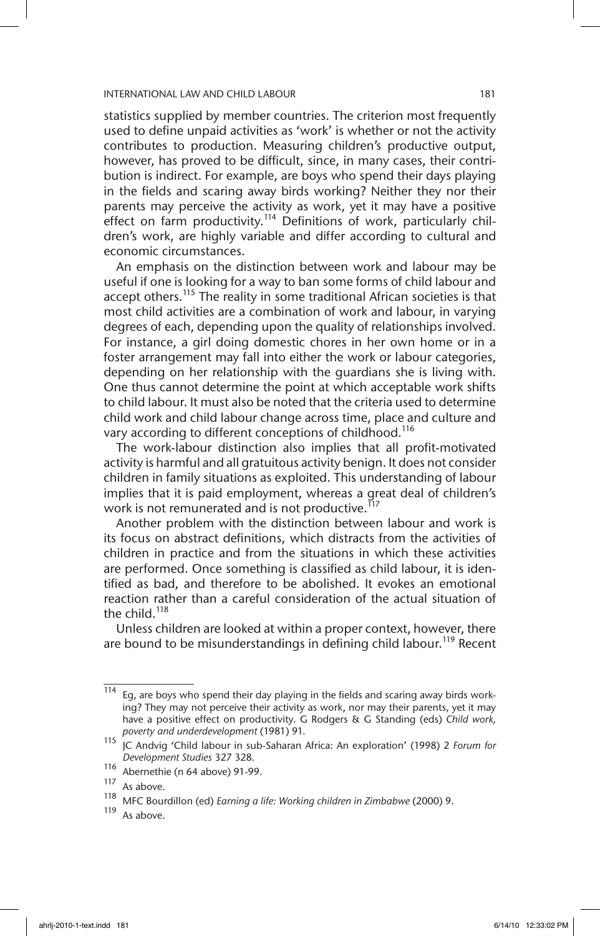statistics supplied by member countries. The criterion most frequently used to define unpaid activities as 'work' is whether or not the activity contributes to production. Measuring children's productive output, however, has proved to be difficult, since, in many cases, their contribution is indirect. For example, are boys who spend their days playing in the fields and scaring away birds working? Neither they nor their parents may perceive the activity as work, yet it may have a positive effect on farm productivity.<sup>114</sup> Definitions of work, particularly children's work, are highly variable and differ according to cultural and economic circumstances.

An emphasis on the distinction between work and labour may be useful if one is looking for a way to ban some forms of child labour and accept others.<sup>115</sup> The reality in some traditional African societies is that most child activities are a combination of work and labour, in varying degrees of each, depending upon the quality of relationships involved. For instance, a girl doing domestic chores in her own home or in a foster arrangement may fall into either the work or labour categories, depending on her relationship with the guardians she is living with. One thus cannot determine the point at which acceptable work shifts to child labour. It must also be noted that the criteria used to determine child work and child labour change across time, place and culture and vary according to different conceptions of childhood.<sup>116</sup>

The work-labour distinction also implies that all profit-motivated activity is harmful and all gratuitous activity benign. It does not consider children in family situations as exploited. This understanding of labour implies that it is paid employment, whereas a great deal of children's work is not remunerated and is not productive.<sup>117</sup>

Another problem with the distinction between labour and work is its focus on abstract definitions, which distracts from the activities of children in practice and from the situations in which these activities are performed. Once something is classified as child labour, it is identified as bad, and therefore to be abolished. It evokes an emotional reaction rather than a careful consideration of the actual situation of the child.<sup>118</sup>

Unless children are looked at within a proper context, however, there are bound to be misunderstandings in defining child labour.<sup>119</sup> Recent

 $\frac{114}{114}$  Eg, are boys who spend their day playing in the fields and scaring away birds working? They may not perceive their activity as work, nor may their parents, yet it may have a positive effect on productivity. G Rodgers & G Standing (eds) *Child work, poverty and underdevelopment* (1981) 91.

<sup>115</sup> JC Andvig 'Child labour in sub-Saharan Africa: An exploration' (1998) 2 *Forum for Development Studies* 327 328.

<sup>116</sup> Abernethie (n 64 above) 91-99.

 $\frac{117}{118}$  As above.

<sup>118</sup> MFC Bourdillon (ed) *Earning a life: Working children in Zimbabwe* (2000) 9.

As above.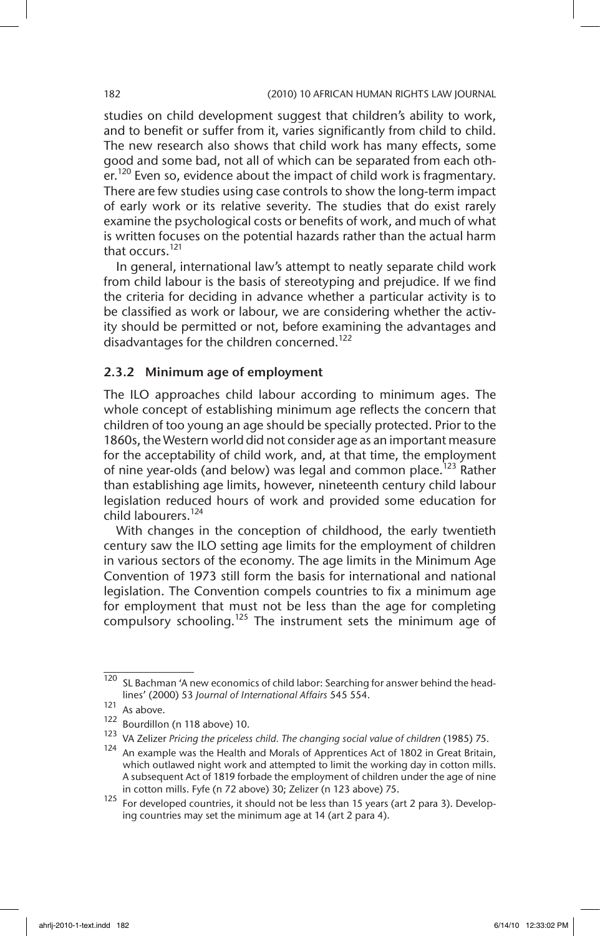studies on child development suggest that children's ability to work, and to benefit or suffer from it, varies significantly from child to child. The new research also shows that child work has many effects, some good and some bad, not all of which can be separated from each other.<sup>120</sup> Even so, evidence about the impact of child work is fragmentary. There are few studies using case controls to show the long-term impact of early work or its relative severity. The studies that do exist rarely examine the psychological costs or benefits of work, and much of what is written focuses on the potential hazards rather than the actual harm that occurs.<sup>121</sup>

In general, international law's attempt to neatly separate child work from child labour is the basis of stereotyping and prejudice. If we find the criteria for deciding in advance whether a particular activity is to be classified as work or labour, we are considering whether the activity should be permitted or not, before examining the advantages and disadvantages for the children concerned.<sup>122</sup>

# 2.3.2 Minimum age of employment

The ILO approaches child labour according to minimum ages. The whole concept of establishing minimum age reflects the concern that children of too young an age should be specially protected. Prior to the 1860s, the Western world did not consider age as an important measure for the acceptability of child work, and, at that time, the employment of nine year-olds (and below) was legal and common place.<sup>123</sup> Rather than establishing age limits, however, nineteenth century child labour legislation reduced hours of work and provided some education for child labourers.<sup>124</sup>

With changes in the conception of childhood, the early twentieth century saw the ILO setting age limits for the employment of children in various sectors of the economy. The age limits in the Minimum Age Convention of 1973 still form the basis for international and national legislation. The Convention compels countries to fix a minimum age for employment that must not be less than the age for completing compulsory schooling.125 The instrument sets the minimum age of

 $\frac{120}{120}$  SL Bachman 'A new economics of child labor: Searching for answer behind the headlines' (2000) 53 *Journal of International Affairs* 545 554.

 $121$  As above.

<sup>122</sup> Bourdillon (n 118 above) 10.

<sup>123</sup> VA Zelizer *Pricing the priceless child. The changing social value of children* (1985) 75.

An example was the Health and Morals of Apprentices Act of 1802 in Great Britain, which outlawed night work and attempted to limit the working day in cotton mills. A subsequent Act of 1819 forbade the employment of children under the age of nine in cotton mills. Fyfe (n 72 above) 30; Zelizer (n 123 above) 75.

<sup>125</sup> For developed countries, it should not be less than 15 years (art 2 para 3). Developing countries may set the minimum age at 14 (art 2 para 4).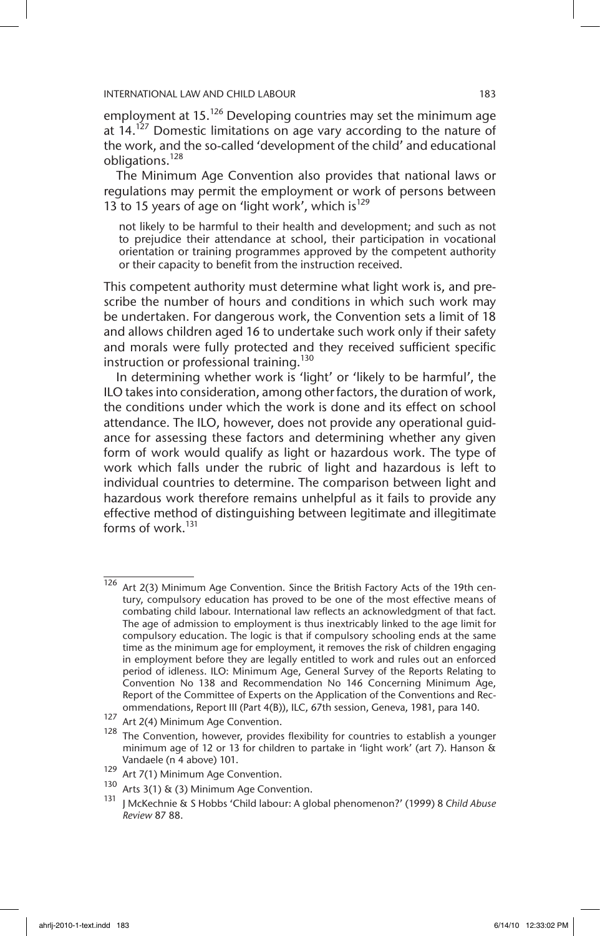employment at  $15.^{126}$  Developing countries may set the minimum age at  $14.127$  Domestic limitations on age vary according to the nature of the work, and the so-called 'development of the child' and educational obligations.<sup>128</sup>

The Minimum Age Convention also provides that national laws or regulations may permit the employment or work of persons between 13 to 15 years of age on 'light work', which is $^{129}$ 

not likely to be harmful to their health and development; and such as not to prejudice their attendance at school, their participation in vocational orientation or training programmes approved by the competent authority or their capacity to benefit from the instruction received.

This competent authority must determine what light work is, and prescribe the number of hours and conditions in which such work may be undertaken. For dangerous work, the Convention sets a limit of 18 and allows children aged 16 to undertake such work only if their safety and morals were fully protected and they received sufficient specific instruction or professional training.<sup>130</sup>

In determining whether work is 'light' or 'likely to be harmful', the ILO takes into consideration, among other factors, the duration of work, the conditions under which the work is done and its effect on school attendance. The ILO, however, does not provide any operational guidance for assessing these factors and determining whether any given form of work would qualify as light or hazardous work. The type of work which falls under the rubric of light and hazardous is left to individual countries to determine. The comparison between light and hazardous work therefore remains unhelpful as it fails to provide any effective method of distinguishing between legitimate and illegitimate forms of work $131$ 

 $\frac{126}{126}$  Art 2(3) Minimum Age Convention. Since the British Factory Acts of the 19th century, compulsory education has proved to be one of the most effective means of combating child labour. International law reflects an acknowledgment of that fact. The age of admission to employment is thus inextricably linked to the age limit for compulsory education. The logic is that if compulsory schooling ends at the same time as the minimum age for employment, it removes the risk of children engaging in employment before they are legally entitled to work and rules out an enforced period of idleness. ILO: Minimum Age, General Survey of the Reports Relating to Convention No 138 and Recommendation No 146 Concerning Minimum Age, Report of the Committee of Experts on the Application of the Conventions and Recommendations, Report III (Part 4(B)), ILC, 67th session, Geneva, 1981, para 140.

<sup>&</sup>lt;sup>127</sup> Art 2(4) Minimum Age Convention.

 $128$  The Convention, however, provides flexibility for countries to establish a younger minimum age of 12 or 13 for children to partake in 'light work' (art 7). Hanson & Vandaele (n 4 above) 101.

<sup>&</sup>lt;sup>129</sup> Art 7(1) Minimum Age Convention.<br><sup>130</sup> Arts 2(1) St (2) Minimum Age Conve

<sup>&</sup>lt;sup>130</sup> Arts 3(1) & (3) Minimum Age Convention.

<sup>131</sup> J McKechnie & S Hobbs 'Child labour: A global phenomenon?' (1999) 8 *Child Abuse Review* 87 88.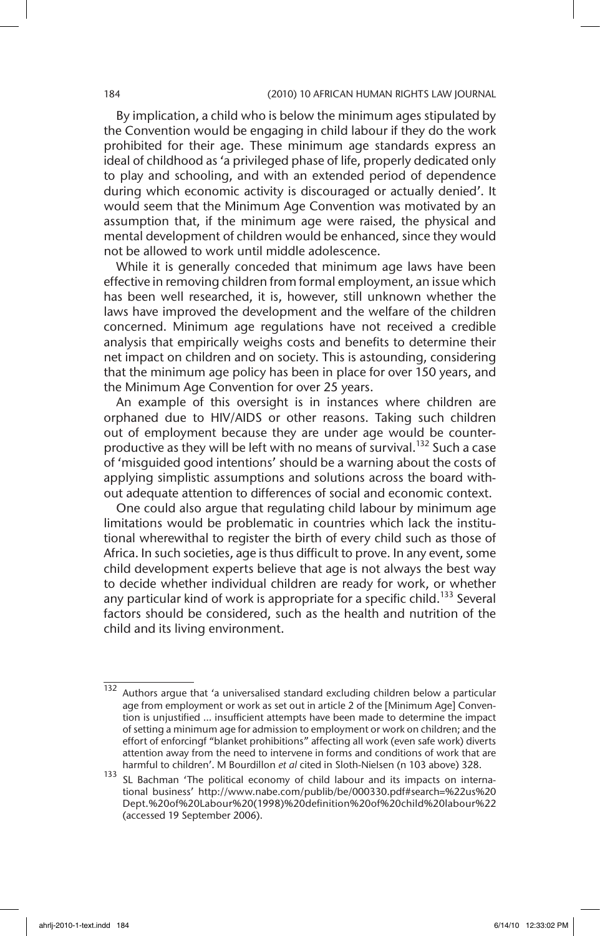By implication, a child who is below the minimum ages stipulated by the Convention would be engaging in child labour if they do the work prohibited for their age. These minimum age standards express an ideal of childhood as 'a privileged phase of life, properly dedicated only to play and schooling, and with an extended period of dependence during which economic activity is discouraged or actually denied'. It would seem that the Minimum Age Convention was motivated by an assumption that, if the minimum age were raised, the physical and mental development of children would be enhanced, since they would not be allowed to work until middle adolescence.

While it is generally conceded that minimum age laws have been effective in removing children from formal employment, an issue which has been well researched, it is, however, still unknown whether the laws have improved the development and the welfare of the children concerned. Minimum age regulations have not received a credible analysis that empirically weighs costs and benefits to determine their net impact on children and on society. This is astounding, considering that the minimum age policy has been in place for over 150 years, and the Minimum Age Convention for over 25 years.

An example of this oversight is in instances where children are orphaned due to HIV/AIDS or other reasons. Taking such children out of employment because they are under age would be counterproductive as they will be left with no means of survival.<sup>132</sup> Such a case of 'misguided good intentions' should be a warning about the costs of applying simplistic assumptions and solutions across the board without adequate attention to differences of social and economic context.

One could also argue that regulating child labour by minimum age limitations would be problematic in countries which lack the institutional wherewithal to register the birth of every child such as those of Africa. In such societies, age is thus difficult to prove. In any event, some child development experts believe that age is not always the best way to decide whether individual children are ready for work, or whether any particular kind of work is appropriate for a specific child.<sup>133</sup> Several factors should be considered, such as the health and nutrition of the child and its living environment.

<sup>132</sup> Authors argue that 'a universalised standard excluding children below a particular age from employment or work as set out in article 2 of the [Minimum Age] Convention is unjustified … insufficient attempts have been made to determine the impact of setting a minimum age for admission to employment or work on children; and the effort of enforcingf "blanket prohibitions" affecting all work (even safe work) diverts attention away from the need to intervene in forms and conditions of work that are harmful to children'. M Bourdillon *et al* cited in Sloth-Nielsen (n 103 above) 328.

<sup>133</sup> SL Bachman 'The political economy of child labour and its impacts on international business' http://www.nabe.com/publib/be/000330.pdf#search=%22us%20 Dept.%20of%20Labour%20(1998)%20definition%20of%20child%20labour%22 (accessed 19 September 2006).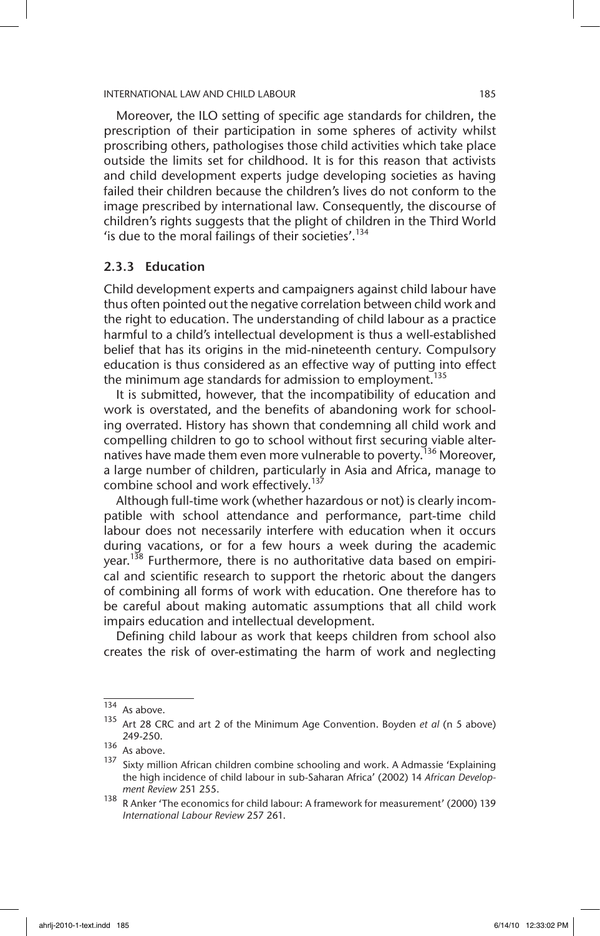Moreover, the ILO setting of specific age standards for children, the prescription of their participation in some spheres of activity whilst proscribing others, pathologises those child activities which take place outside the limits set for childhood. It is for this reason that activists and child development experts judge developing societies as having failed their children because the children's lives do not conform to the image prescribed by international law. Consequently, the discourse of children's rights suggests that the plight of children in the Third World 'is due to the moral failings of their societies'.<sup>134</sup>

# 2.3.3 Education

Child development experts and campaigners against child labour have thus often pointed out the negative correlation between child work and the right to education. The understanding of child labour as a practice harmful to a child's intellectual development is thus a well-established belief that has its origins in the mid-nineteenth century. Compulsory education is thus considered as an effective way of putting into effect the minimum age standards for admission to employment.<sup>135</sup>

It is submitted, however, that the incompatibility of education and work is overstated, and the benefits of abandoning work for schooling overrated. History has shown that condemning all child work and compelling children to go to school without first securing viable alternatives have made them even more vulnerable to poverty.<sup>136</sup> Moreover, a large number of children, particularly in Asia and Africa, manage to combine school and work effectively.<sup>137</sup>

Although full-time work (whether hazardous or not) is clearly incompatible with school attendance and performance, part-time child labour does not necessarily interfere with education when it occurs during vacations, or for a few hours a week during the academic year.<sup>138</sup> Furthermore, there is no authoritative data based on empirical and scientific research to support the rhetoric about the dangers of combining all forms of work with education. One therefore has to be careful about making automatic assumptions that all child work impairs education and intellectual development.

Defining child labour as work that keeps children from school also creates the risk of over-estimating the harm of work and neglecting

<sup>134</sup> As above.

<sup>135</sup> Art 28 CRC and art 2 of the Minimum Age Convention. Boyden *et al* (n 5 above) 249-250.

 $136$  As above.

 $137$  Sixty million African children combine schooling and work. A Admassie 'Explaining the high incidence of child labour in sub-Saharan Africa' (2002) 14 *African Development Review* 251 255.

<sup>138</sup> R Anker 'The economics for child labour: A framework for measurement' (2000) 139 *International Labour Review* 257 261.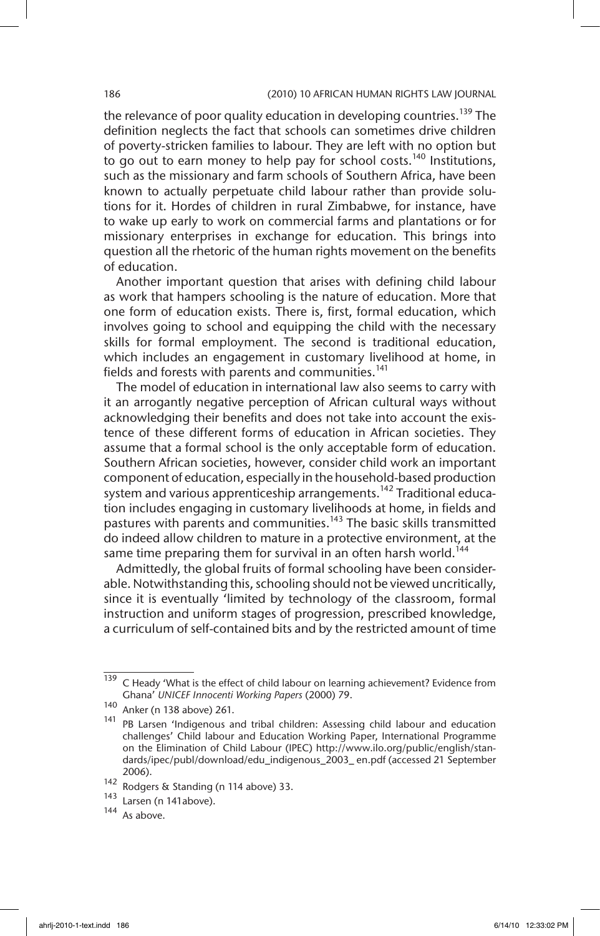the relevance of poor quality education in developing countries.<sup>139</sup> The definition neglects the fact that schools can sometimes drive children of poverty-stricken families to labour. They are left with no option but to go out to earn money to help pay for school costs.<sup>140</sup> Institutions, such as the missionary and farm schools of Southern Africa, have been known to actually perpetuate child labour rather than provide solutions for it. Hordes of children in rural Zimbabwe, for instance, have to wake up early to work on commercial farms and plantations or for missionary enterprises in exchange for education. This brings into question all the rhetoric of the human rights movement on the benefits of education.

Another important question that arises with defining child labour as work that hampers schooling is the nature of education. More that one form of education exists. There is, first, formal education, which involves going to school and equipping the child with the necessary skills for formal employment. The second is traditional education, which includes an engagement in customary livelihood at home, in fields and forests with parents and communities.<sup>141</sup>

The model of education in international law also seems to carry with it an arrogantly negative perception of African cultural ways without acknowledging their benefits and does not take into account the existence of these different forms of education in African societies. They assume that a formal school is the only acceptable form of education. Southern African societies, however, consider child work an important component of education, especially in the household-based production system and various apprenticeship arrangements.<sup>142</sup> Traditional education includes engaging in customary livelihoods at home, in fields and pastures with parents and communities.<sup>143</sup> The basic skills transmitted do indeed allow children to mature in a protective environment, at the same time preparing them for survival in an often harsh world.<sup>144</sup>

Admittedly, the global fruits of formal schooling have been considerable. Notwithstanding this, schooling should not be viewed uncritically, since it is eventually 'limited by technology of the classroom, formal instruction and uniform stages of progression, prescribed knowledge, a curriculum of self-contained bits and by the restricted amount of time

 $\frac{139}{139}$  C Heady 'What is the effect of child labour on learning achievement? Evidence from Ghana' *UNICEF Innocenti Working Papers* (2000) 79.

<sup>140</sup> Anker (n 138 above) 261.

<sup>141</sup> PB Larsen 'Indigenous and tribal children: Assessing child labour and education challenges' Child labour and Education Working Paper, International Programme on the Elimination of Child Labour (IPEC) http://www.ilo.org/public/english/standards/ipec/publ/download/edu\_indigenous\_2003\_ en.pdf (accessed 21 September 2006).

 $\frac{142}{143}$  Rodgers & Standing (n 114 above) 33.

 $\frac{143}{144}$  Larsen (n 141above).

As above.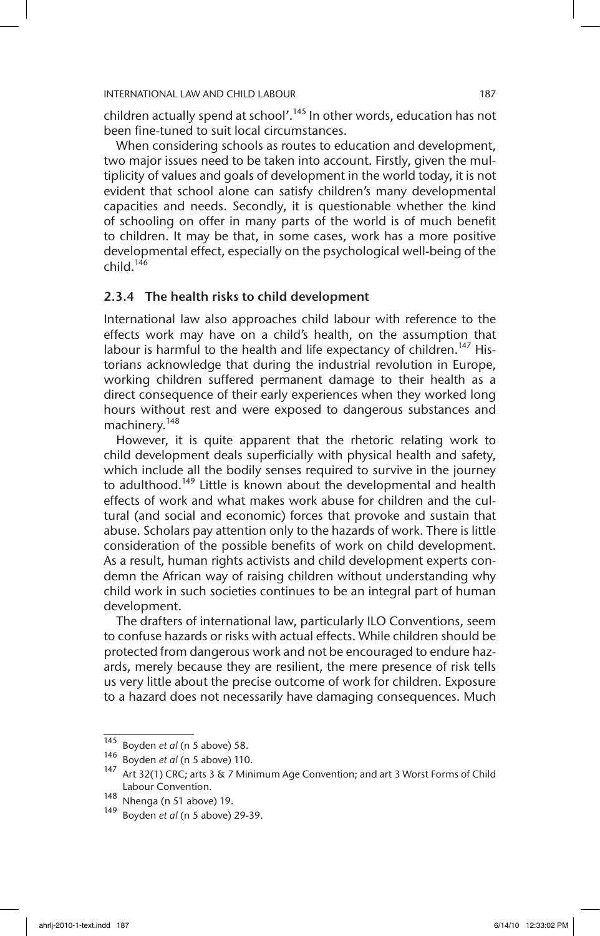children actually spend at school'.<sup>145</sup> In other words, education has not been fine-tuned to suit local circumstances.

When considering schools as routes to education and development, two major issues need to be taken into account. Firstly, given the multiplicity of values and goals of development in the world today, it is not evident that school alone can satisfy children's many developmental capacities and needs. Secondly, it is questionable whether the kind of schooling on offer in many parts of the world is of much benefit to children. It may be that, in some cases, work has a more positive developmental effect, especially on the psychological well-being of the child. $146$ 

# 2.3.4 The health risks to child development

International law also approaches child labour with reference to the effects work may have on a child's health, on the assumption that labour is harmful to the health and life expectancy of children.<sup>147</sup> Historians acknowledge that during the industrial revolution in Europe, working children suffered permanent damage to their health as a direct consequence of their early experiences when they worked long hours without rest and were exposed to dangerous substances and machinery.<sup>148</sup>

However, it is quite apparent that the rhetoric relating work to child development deals superficially with physical health and safety, which include all the bodily senses required to survive in the journey to adulthood.<sup>149</sup> Little is known about the developmental and health effects of work and what makes work abuse for children and the cultural (and social and economic) forces that provoke and sustain that abuse. Scholars pay attention only to the hazards of work. There is little consideration of the possible benefits of work on child development. As a result, human rights activists and child development experts condemn the African way of raising children without understanding why child work in such societies continues to be an integral part of human development.

The drafters of international law, particularly ILO Conventions, seem to confuse hazards or risks with actual effects. While children should be protected from dangerous work and not be encouraged to endure hazards, merely because they are resilient, the mere presence of risk tells us very little about the precise outcome of work for children. Exposure to a hazard does not necessarily have damaging consequences. Much

<sup>145</sup> Boyden *et al* (n 5 above) 58.

<sup>146</sup> Boyden *et al* (n 5 above) 110.

<sup>147</sup> Art 32(1) CRC; arts 3 & 7 Minimum Age Convention; and art 3 Worst Forms of Child Labour Convention.

<sup>&</sup>lt;sup>148</sup> Nhenga (n 51 above) 19.<br><sup>149</sup> Boydan et al (n 5 above)

<sup>149</sup> Boyden *et al* (n 5 above) 29-39.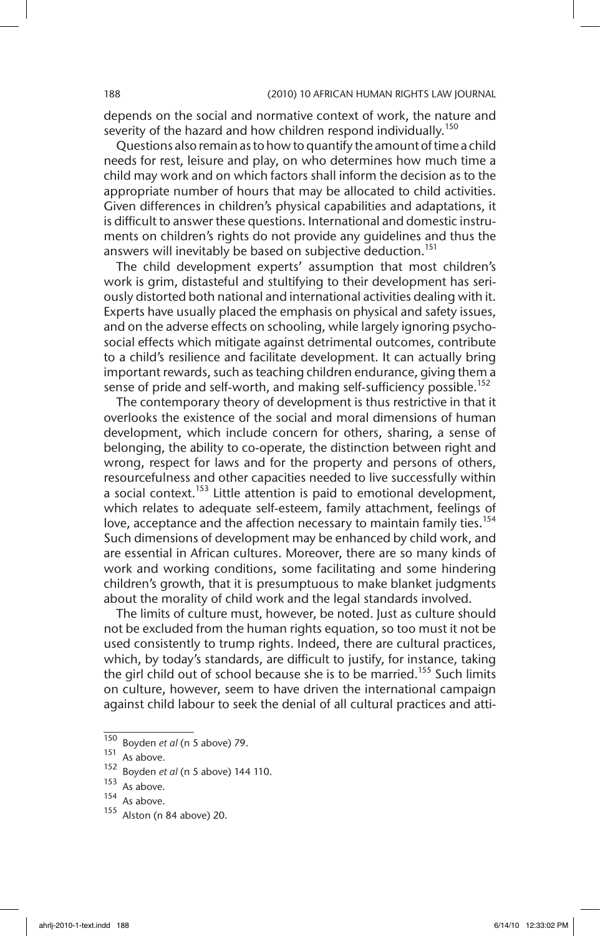depends on the social and normative context of work, the nature and severity of the hazard and how children respond individually.<sup>150</sup>

Questions also remain as to how to quantify the amount of time a child needs for rest, leisure and play, on who determines how much time a child may work and on which factors shall inform the decision as to the appropriate number of hours that may be allocated to child activities. Given differences in children's physical capabilities and adaptations, it is difficult to answer these questions. International and domestic instruments on children's rights do not provide any guidelines and thus the answers will inevitably be based on subjective deduction.<sup>151</sup>

The child development experts' assumption that most children's work is grim, distasteful and stultifying to their development has seriously distorted both national and international activities dealing with it. Experts have usually placed the emphasis on physical and safety issues, and on the adverse effects on schooling, while largely ignoring psychosocial effects which mitigate against detrimental outcomes, contribute to a child's resilience and facilitate development. It can actually bring important rewards, such as teaching children endurance, giving them a sense of pride and self-worth, and making self-sufficiency possible.<sup>152</sup>

The contemporary theory of development is thus restrictive in that it overlooks the existence of the social and moral dimensions of human development, which include concern for others, sharing, a sense of belonging, the ability to co-operate, the distinction between right and wrong, respect for laws and for the property and persons of others, resourcefulness and other capacities needed to live successfully within a social context.<sup>153</sup> Little attention is paid to emotional development, which relates to adequate self-esteem, family attachment, feelings of love, acceptance and the affection necessary to maintain family ties.<sup>154</sup> Such dimensions of development may be enhanced by child work, and are essential in African cultures. Moreover, there are so many kinds of work and working conditions, some facilitating and some hindering children's growth, that it is presumptuous to make blanket judgments about the morality of child work and the legal standards involved.

The limits of culture must, however, be noted. Just as culture should not be excluded from the human rights equation, so too must it not be used consistently to trump rights. Indeed, there are cultural practices, which, by today's standards, are difficult to justify, for instance, taking the girl child out of school because she is to be married.<sup>155</sup> Such limits on culture, however, seem to have driven the international campaign against child labour to seek the denial of all cultural practices and atti-

<sup>150</sup> Boyden *et al* (n 5 above) 79.

 $\frac{151}{152}$  As above.

<sup>152</sup> Boyden *et al* (n 5 above) 144 110.

 $153$  As above.

As above.

Alston (n 84 above) 20.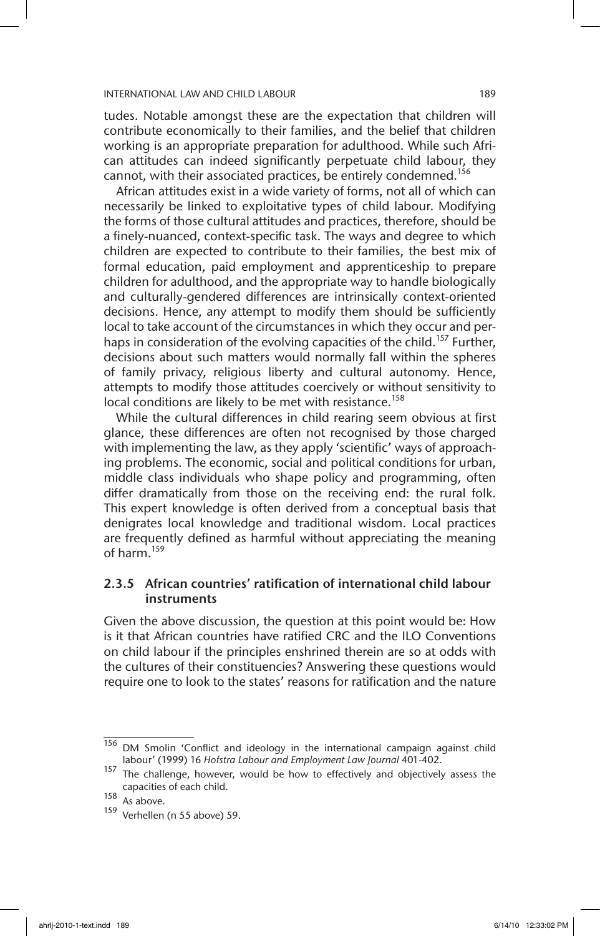tudes. Notable amongst these are the expectation that children will contribute economically to their families, and the belief that children working is an appropriate preparation for adulthood. While such African attitudes can indeed significantly perpetuate child labour, they cannot, with their associated practices, be entirely condemned.<sup>156</sup>

African attitudes exist in a wide variety of forms, not all of which can necessarily be linked to exploitative types of child labour. Modifying the forms of those cultural attitudes and practices, therefore, should be a finely-nuanced, context-specific task. The ways and degree to which children are expected to contribute to their families, the best mix of formal education, paid employment and apprenticeship to prepare children for adulthood, and the appropriate way to handle biologically and culturally-gendered differences are intrinsically context-oriented decisions. Hence, any attempt to modify them should be sufficiently local to take account of the circumstances in which they occur and perhaps in consideration of the evolving capacities of the child.<sup>157</sup> Further, decisions about such matters would normally fall within the spheres of family privacy, religious liberty and cultural autonomy. Hence, attempts to modify those attitudes coercively or without sensitivity to local conditions are likely to be met with resistance.<sup>158</sup>

While the cultural differences in child rearing seem obvious at first glance, these differences are often not recognised by those charged with implementing the law, as they apply 'scientific' ways of approaching problems. The economic, social and political conditions for urban, middle class individuals who shape policy and programming, often differ dramatically from those on the receiving end: the rural folk. This expert knowledge is often derived from a conceptual basis that denigrates local knowledge and traditional wisdom. Local practices are frequently defined as harmful without appreciating the meaning of harm.159

# 2.3.5 African countries' ratification of international child labour instruments

Given the above discussion, the question at this point would be: How is it that African countries have ratified CRC and the ILO Conventions on child labour if the principles enshrined therein are so at odds with the cultures of their constituencies? Answering these questions would require one to look to the states' reasons for ratification and the nature

<sup>156</sup> DM Smolin 'Conflict and ideology in the international campaign against child labour' (1999) 16 *Hofstra Labour and Employment Law Journal* 401-402.

 $157$  The challenge, however, would be how to effectively and objectively assess the capacities of each child.

 $158$  As above.

<sup>159</sup> Verhellen (n 55 above) 59.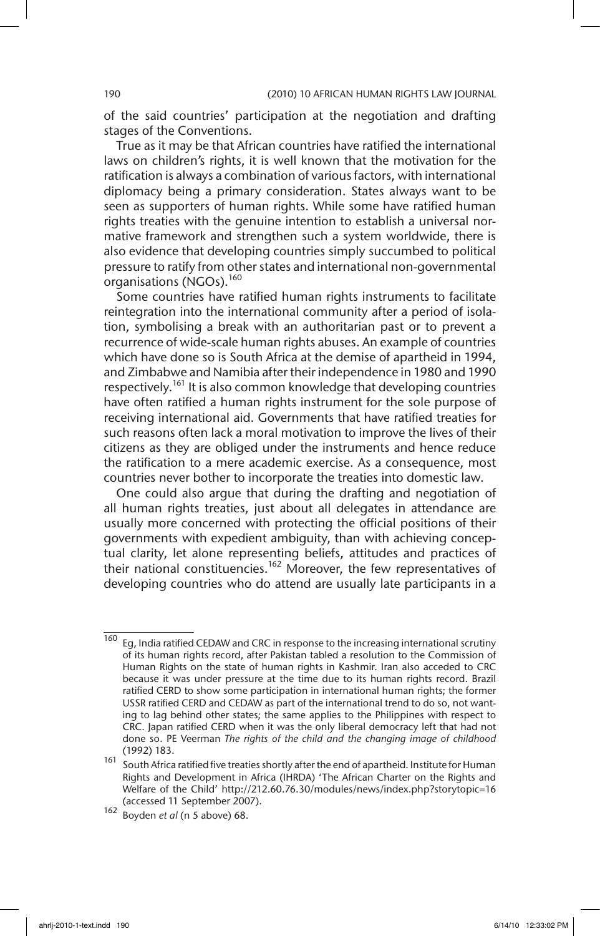of the said countries' participation at the negotiation and drafting stages of the Conventions.

True as it may be that African countries have ratified the international laws on children's rights, it is well known that the motivation for the ratification is always a combination of various factors, with international diplomacy being a primary consideration. States always want to be seen as supporters of human rights. While some have ratified human rights treaties with the genuine intention to establish a universal normative framework and strengthen such a system worldwide, there is also evidence that developing countries simply succumbed to political pressure to ratify from other states and international non-governmental organisations (NGOs).<sup>160</sup>

Some countries have ratified human rights instruments to facilitate reintegration into the international community after a period of isolation, symbolising a break with an authoritarian past or to prevent a recurrence of wide-scale human rights abuses. An example of countries which have done so is South Africa at the demise of apartheid in 1994, and Zimbabwe and Namibia after their independence in 1980 and 1990 respectively.<sup>161</sup> It is also common knowledge that developing countries have often ratified a human rights instrument for the sole purpose of receiving international aid. Governments that have ratified treaties for such reasons often lack a moral motivation to improve the lives of their citizens as they are obliged under the instruments and hence reduce the ratification to a mere academic exercise. As a consequence, most countries never bother to incorporate the treaties into domestic law.

One could also argue that during the drafting and negotiation of all human rights treaties, just about all delegates in attendance are usually more concerned with protecting the official positions of their governments with expedient ambiguity, than with achieving conceptual clarity, let alone representing beliefs, attitudes and practices of their national constituencies.<sup>162</sup> Moreover, the few representatives of developing countries who do attend are usually late participants in a

 $\frac{160}{160}$  Eg, India ratified CEDAW and CRC in response to the increasing international scrutiny of its human rights record, after Pakistan tabled a resolution to the Commission of Human Rights on the state of human rights in Kashmir. Iran also acceded to CRC because it was under pressure at the time due to its human rights record. Brazil ratified CERD to show some participation in international human rights; the former USSR ratified CERD and CEDAW as part of the international trend to do so, not wanting to lag behind other states; the same applies to the Philippines with respect to CRC. Japan ratified CERD when it was the only liberal democracy left that had not done so. PE Veerman *The rights of the child and the changing image of childhood*  (1992) 183.

<sup>161</sup> South Africa ratified five treaties shortly after the end of apartheid. Institute for Human Rights and Development in Africa (IHRDA) 'The African Charter on the Rights and Welfare of the Child' http://212.60.76.30/modules/news/index.php?storytopic=16 (accessed 11 September 2007).

<sup>162</sup> Boyden *et al* (n 5 above) 68.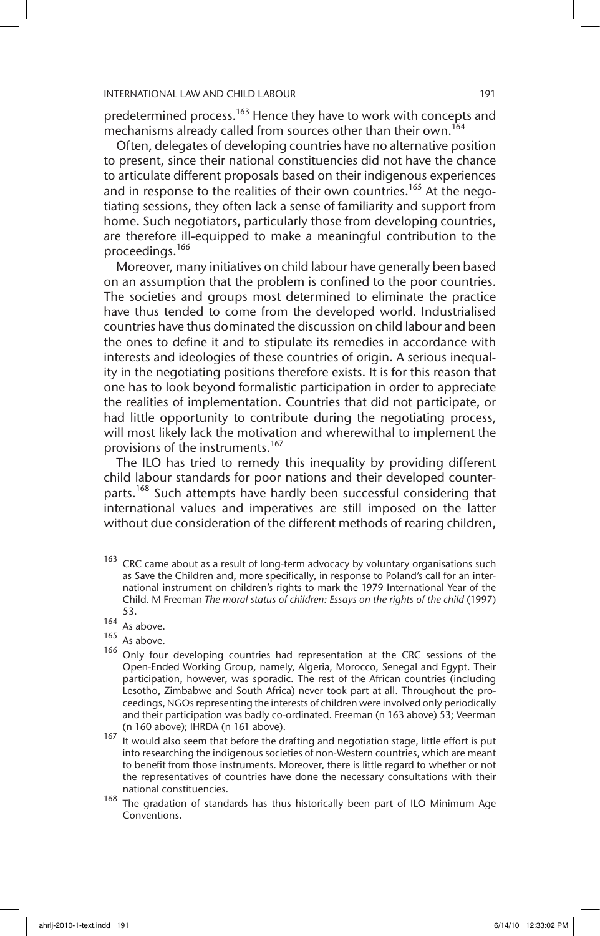predetermined process.<sup>163</sup> Hence they have to work with concepts and mechanisms already called from sources other than their own.<sup>164</sup>

Often, delegates of developing countries have no alternative position to present, since their national constituencies did not have the chance to articulate different proposals based on their indigenous experiences and in response to the realities of their own countries.<sup>165</sup> At the negotiating sessions, they often lack a sense of familiarity and support from home. Such negotiators, particularly those from developing countries, are therefore ill-equipped to make a meaningful contribution to the proceedings.166

Moreover, many initiatives on child labour have generally been based on an assumption that the problem is confined to the poor countries. The societies and groups most determined to eliminate the practice have thus tended to come from the developed world. Industrialised countries have thus dominated the discussion on child labour and been the ones to define it and to stipulate its remedies in accordance with interests and ideologies of these countries of origin. A serious inequality in the negotiating positions therefore exists. It is for this reason that one has to look beyond formalistic participation in order to appreciate the realities of implementation. Countries that did not participate, or had little opportunity to contribute during the negotiating process, will most likely lack the motivation and wherewithal to implement the provisions of the instruments.<sup>167</sup>

The ILO has tried to remedy this inequality by providing different child labour standards for poor nations and their developed counterparts.<sup>168</sup> Such attempts have hardly been successful considering that international values and imperatives are still imposed on the latter without due consideration of the different methods of rearing children,

 $\overline{163}$  CRC came about as a result of long-term advocacy by voluntary organisations such as Save the Children and, more specifically, in response to Poland's call for an international instrument on children's rights to mark the 1979 International Year of the Child. M Freeman *The moral status of children: Essays on the rights of the child* (1997) 53.

<sup>164</sup> As above.

 $165$  As above.

<sup>&</sup>lt;sup>166</sup> Only four developing countries had representation at the CRC sessions of the Open-Ended Working Group, namely, Algeria, Morocco, Senegal and Egypt. Their participation, however, was sporadic. The rest of the African countries (including Lesotho, Zimbabwe and South Africa) never took part at all. Throughout the proceedings, NGOs representing the interests of children were involved only periodically and their participation was badly co-ordinated. Freeman (n 163 above) 53; Veerman (n 160 above); IHRDA (n 161 above).

<sup>167</sup> It would also seem that before the drafting and negotiation stage, little effort is put into researching the indigenous societies of non-Western countries, which are meant to benefit from those instruments. Moreover, there is little regard to whether or not the representatives of countries have done the necessary consultations with their national constituencies.

 $168$  The gradation of standards has thus historically been part of ILO Minimum Age Conventions.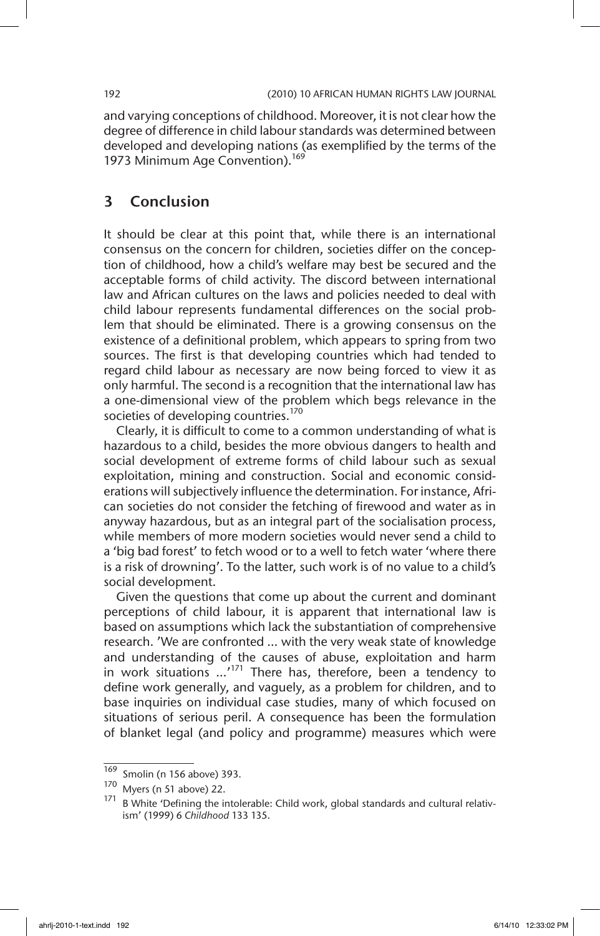and varying conceptions of childhood. Moreover, it is not clear how the degree of difference in child labour standards was determined between developed and developing nations (as exemplified by the terms of the 1973 Minimum Age Convention).<sup>169</sup>

# 3 Conclusion

It should be clear at this point that, while there is an international consensus on the concern for children, societies differ on the conception of childhood, how a child's welfare may best be secured and the acceptable forms of child activity. The discord between international law and African cultures on the laws and policies needed to deal with child labour represents fundamental differences on the social problem that should be eliminated. There is a growing consensus on the existence of a definitional problem, which appears to spring from two sources. The first is that developing countries which had tended to regard child labour as necessary are now being forced to view it as only harmful. The second is a recognition that the international law has a one-dimensional view of the problem which begs relevance in the societies of developing countries.<sup>170</sup>

Clearly, it is difficult to come to a common understanding of what is hazardous to a child, besides the more obvious dangers to health and social development of extreme forms of child labour such as sexual exploitation, mining and construction. Social and economic considerations will subjectively influence the determination. For instance, African societies do not consider the fetching of firewood and water as in anyway hazardous, but as an integral part of the socialisation process, while members of more modern societies would never send a child to a 'big bad forest' to fetch wood or to a well to fetch water 'where there is a risk of drowning'. To the latter, such work is of no value to a child's social development.

Given the questions that come up about the current and dominant perceptions of child labour, it is apparent that international law is based on assumptions which lack the substantiation of comprehensive research. 'We are confronted … with the very weak state of knowledge and understanding of the causes of abuse, exploitation and harm in work situations  $\ldots$ <sup>171</sup> There has, therefore, been a tendency to define work generally, and vaguely, as a problem for children, and to base inquiries on individual case studies, many of which focused on situations of serious peril. A consequence has been the formulation of blanket legal (and policy and programme) measures which were

 $\frac{169}{170}$  Smolin (n 156 above) 393.

Myers (n 51 above) 22.

B White 'Defining the intolerable: Child work, global standards and cultural relativism' (1999) 6 *Childhood* 133 135.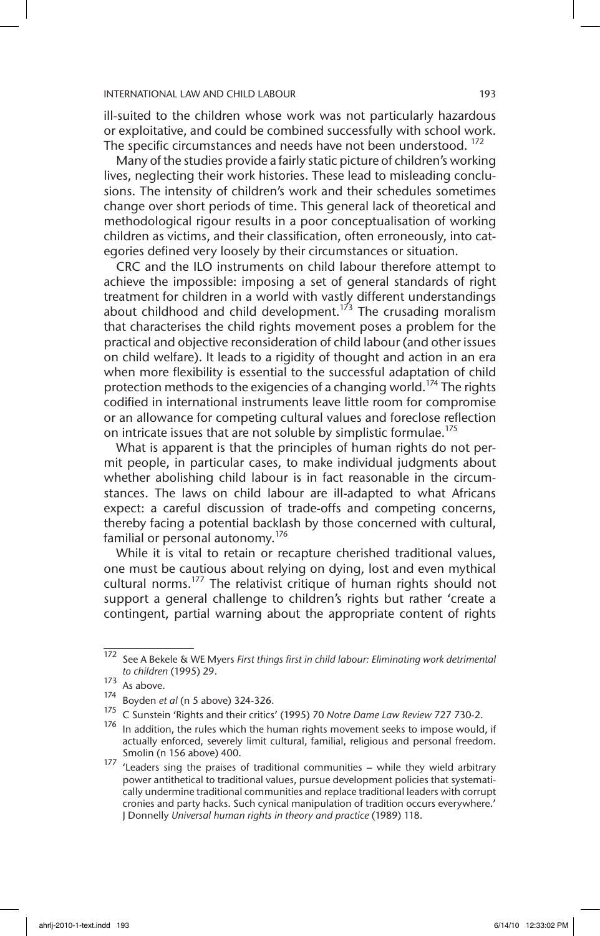ill-suited to the children whose work was not particularly hazardous or exploitative, and could be combined successfully with school work. The specific circumstances and needs have not been understood.<sup>172</sup>

Many of the studies provide a fairly static picture of children's working lives, neglecting their work histories. These lead to misleading conclusions. The intensity of children's work and their schedules sometimes change over short periods of time. This general lack of theoretical and methodological rigour results in a poor conceptualisation of working children as victims, and their classification, often erroneously, into categories defined very loosely by their circumstances or situation.

CRC and the ILO instruments on child labour therefore attempt to achieve the impossible: imposing a set of general standards of right treatment for children in a world with vastly different understandings about childhood and child development.<sup>173</sup> The crusading moralism that characterises the child rights movement poses a problem for the practical and objective reconsideration of child labour (and other issues on child welfare). It leads to a rigidity of thought and action in an era when more flexibility is essential to the successful adaptation of child protection methods to the exigencies of a changing world.<sup>174</sup> The rights codified in international instruments leave little room for compromise or an allowance for competing cultural values and foreclose reflection on intricate issues that are not soluble by simplistic formulae.<sup>175</sup>

What is apparent is that the principles of human rights do not permit people, in particular cases, to make individual judgments about whether abolishing child labour is in fact reasonable in the circumstances. The laws on child labour are ill-adapted to what Africans expect: a careful discussion of trade-offs and competing concerns, thereby facing a potential backlash by those concerned with cultural, familial or personal autonomy.<sup>176</sup>

While it is vital to retain or recapture cherished traditional values, one must be cautious about relying on dying, lost and even mythical cultural norms.<sup>177</sup> The relativist critique of human rights should not support a general challenge to children's rights but rather 'create a contingent, partial warning about the appropriate content of rights

<sup>172</sup> See A Bekele & WE Myers *First things first in child labour: Eliminating work detrimental to children* (1995) 29.

 $\frac{173}{174}$  As above.

<sup>174</sup> Boyden *et al* (n 5 above) 324-326.

<sup>175</sup> C Sunstein 'Rights and their critics' (1995) 70 *Notre Dame Law Review* 727 730-2.

In addition, the rules which the human rights movement seeks to impose would, if actually enforced, severely limit cultural, familial, religious and personal freedom. Smolin (n 156 above) 400.

<sup>177</sup> 'Leaders sing the praises of traditional communities – while they wield arbitrary power antithetical to traditional values, pursue development policies that systematically undermine traditional communities and replace traditional leaders with corrupt cronies and party hacks. Such cynical manipulation of tradition occurs everywhere.' J Donnelly *Universal human rights in theory and practice* (1989) 118.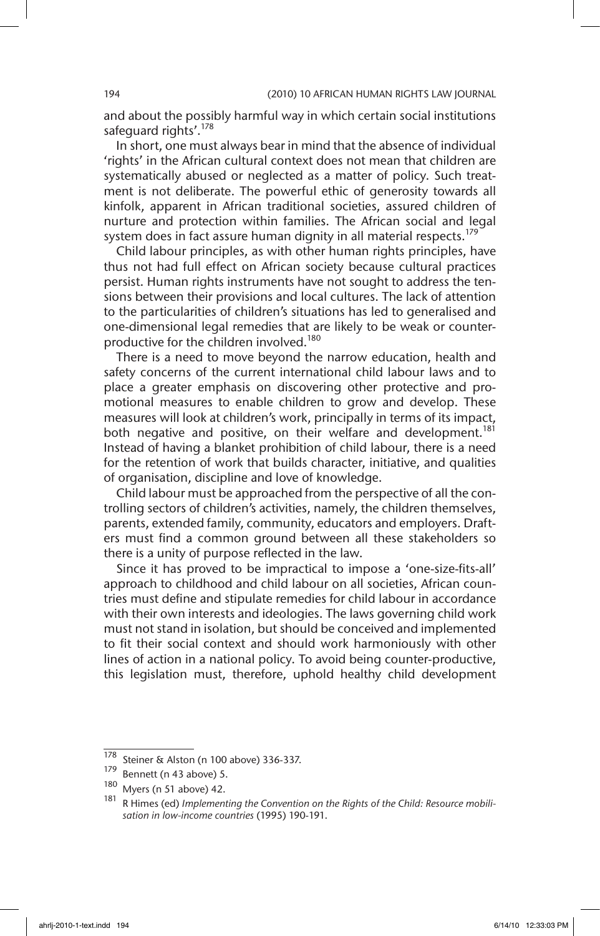and about the possibly harmful way in which certain social institutions safequard rights'.<sup>178</sup>

In short, one must always bear in mind that the absence of individual 'rights' in the African cultural context does not mean that children are systematically abused or neglected as a matter of policy. Such treatment is not deliberate. The powerful ethic of generosity towards all kinfolk, apparent in African traditional societies, assured children of nurture and protection within families. The African social and legal system does in fact assure human dignity in all material respects.<sup>179</sup>

Child labour principles, as with other human rights principles, have thus not had full effect on African society because cultural practices persist. Human rights instruments have not sought to address the tensions between their provisions and local cultures. The lack of attention to the particularities of children's situations has led to generalised and one-dimensional legal remedies that are likely to be weak or counterproductive for the children involved.<sup>180</sup>

There is a need to move beyond the narrow education, health and safety concerns of the current international child labour laws and to place a greater emphasis on discovering other protective and promotional measures to enable children to grow and develop. These measures will look at children's work, principally in terms of its impact, both negative and positive, on their welfare and development.<sup>181</sup> Instead of having a blanket prohibition of child labour, there is a need for the retention of work that builds character, initiative, and qualities of organisation, discipline and love of knowledge.

Child labour must be approached from the perspective of all the controlling sectors of children's activities, namely, the children themselves, parents, extended family, community, educators and employers. Drafters must find a common ground between all these stakeholders so there is a unity of purpose reflected in the law.

Since it has proved to be impractical to impose a 'one-size-fits-all' approach to childhood and child labour on all societies, African countries must define and stipulate remedies for child labour in accordance with their own interests and ideologies. The laws governing child work must not stand in isolation, but should be conceived and implemented to fit their social context and should work harmoniously with other lines of action in a national policy. To avoid being counter-productive, this legislation must, therefore, uphold healthy child development

<sup>178</sup> Steiner & Alston (n 100 above) 336-337.<br>179 Bonnett (n 43 above) 5

 $^{179}$  Bennett (n 43 above) 5.<br> $^{180}$  Music (n 51 above) 42

Myers (n 51 above) 42.

R Himes (ed) *Implementing the Convention on the Rights of the Child: Resource mobilisation in low-income countries* (1995) 190-191.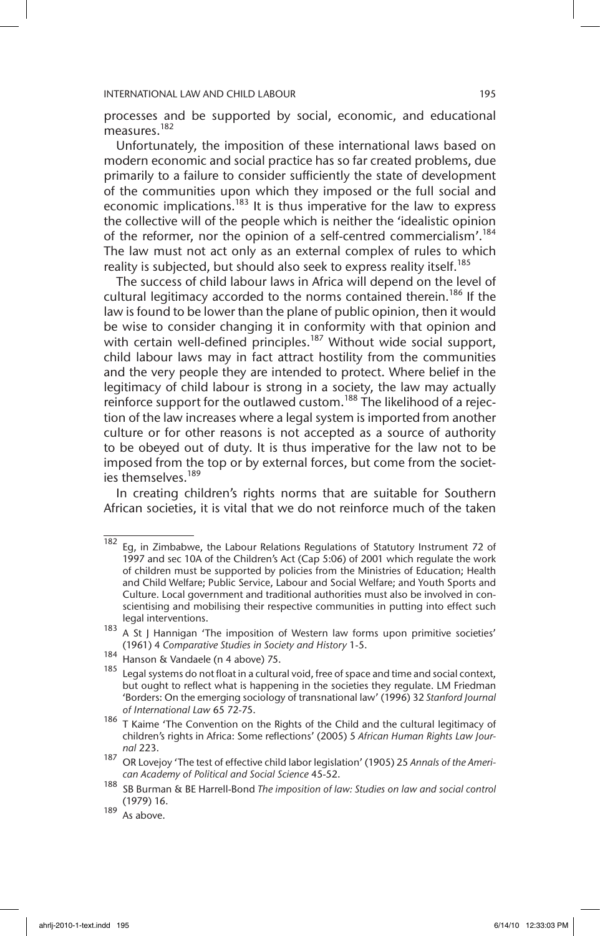processes and be supported by social, economic, and educational measures.182

Unfortunately, the imposition of these international laws based on modern economic and social practice has so far created problems, due primarily to a failure to consider sufficiently the state of development of the communities upon which they imposed or the full social and economic implications.<sup>183</sup> It is thus imperative for the law to express the collective will of the people which is neither the 'idealistic opinion of the reformer, nor the opinion of a self-centred commercialism'.<sup>184</sup> The law must not act only as an external complex of rules to which reality is subjected, but should also seek to express reality itself.<sup>185</sup>

The success of child labour laws in Africa will depend on the level of cultural legitimacy accorded to the norms contained therein.<sup>186</sup> If the law is found to be lower than the plane of public opinion, then it would be wise to consider changing it in conformity with that opinion and with certain well-defined principles.<sup>187</sup> Without wide social support, child labour laws may in fact attract hostility from the communities and the very people they are intended to protect. Where belief in the legitimacy of child labour is strong in a society, the law may actually reinforce support for the outlawed custom.<sup>188</sup> The likelihood of a rejection of the law increases where a legal system is imported from another culture or for other reasons is not accepted as a source of authority to be obeyed out of duty. It is thus imperative for the law not to be imposed from the top or by external forces, but come from the societies themselves.<sup>189</sup>

In creating children's rights norms that are suitable for Southern African societies, it is vital that we do not reinforce much of the taken

 $\overline{182}$  Eg, in Zimbabwe, the Labour Relations Regulations of Statutory Instrument 72 of 1997 and sec 10A of the Children's Act (Cap 5:06) of 2001 which regulate the work of children must be supported by policies from the Ministries of Education; Health and Child Welfare; Public Service, Labour and Social Welfare; and Youth Sports and Culture. Local government and traditional authorities must also be involved in conscientising and mobilising their respective communities in putting into effect such legal interventions.

 $183$  A St J Hannigan 'The imposition of Western law forms upon primitive societies' (1961) 4 *Comparative Studies in Society and History* 1-5.

<sup>184</sup> Hanson & Vandaele (n 4 above) 75.

 $185$  Legal systems do not float in a cultural void, free of space and time and social context, but ought to reflect what is happening in the societies they regulate. LM Friedman 'Borders: On the emerging sociology of transnational law' (1996) 32 *Stanford Journal of International Law* 65 72-75.

 $186$  T Kaime 'The Convention on the Rights of the Child and the cultural legitimacy of children's rights in Africa: Some reflections' (2005) 5 *African Human Rights Law Journal* 223.

<sup>187</sup> OR Lovejoy 'The test of effective child labor legislation' (1905) 25 *Annals of the American Academy of Political and Social Science* 45-52.

<sup>188</sup> SB Burman & BE Harrell-Bond *The imposition of law: Studies on law and social control* (1979) 16.

 $189$  As above.